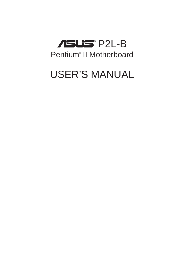

# USER'S MANUAL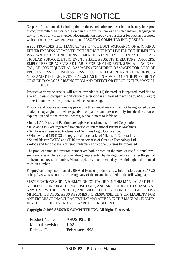No part of this manual, including the products and software described in it, may be reproduced, transmitted, transcribed, stored in a retrieval system, or translated into any language in any form or by any means, except documentation kept by the purchaser for backup purposes, without the express written permission of ASUSTeK COMPUTER INC. ("ASUS").

ASUS PROVIDES THIS MANUAL "AS IS" WITHOUT WARRANTY OF ANY KIND, EITHER EXPRESS OR IMPLIED, INCLUDING BUT NOT LIMITED TO THE IMPLIED WARRANTIES OR CONDITIONS OF MERCHANTABILITY OR FITNESS FOR A PAR-TICULAR PURPOSE. IN NO EVENT SHALL ASUS, ITS DIRECTORS, OFFICERS, EMPLOYEES OR AGENTS BE LIABLE FOR ANY INDIRECT, SPECIAL, INCIDEN-TAL, OR CONSEQUENTIAL DAMAGES (INCLUDING DAMAGES FOR LOSS OF PROFITS, LOSS OF BUSINESS, LOSS OF USE OR DATA, INTERRUPTION OF BUSI-NESS AND THE LIKE), EVEN IF ASUS HAS BEEN ADVISED OF THE POSSIBILITY OF SUCH DAMAGES ARISING FROM ANY DEFECT OR ERROR IN THIS MANUAL OR PRODUCT.

Product warranty or service will not be extended if: (1) the product is repaired, modified or altered, unless such repair, modification of alteration is authorized in writing by ASUS; or (2) the serial number of the product is defaced or missing.

Products and corporate names appearing in this manual may or may not be registered trademarks or copyrights of their respective companies, and are used only for identification or explanation and to the owners' benefit, without intent to infringe.

- Intel, LANDesk, and Pentium are registered trademarks of Intel Corporation.
- IBM and OS/2 are registered trademarks of International Business Machines.
- Symbios is a registered trademark of Symbios Logic Corporation.
- Windows and MS-DOS are registered trademarks of Microsoft Corporation.
- Sound Blaster AWE32 and SB16 are trademarks of Creative Technology Ltd.
- Adobe and Acrobat are registered trademarks of Adobe Systems Incorporated.

The product name and revision number are both printed on the product itself. Manual revisions are released for each product design represented by the digit before and after the period of the manual revision number. Manual updates are represented by the third digit in the manual revision number.

For previous or updated manuals, BIOS, drivers, or product release information, contact ASUS at http://www.asus.com.tw or through any of the means indicated on the following page.

SPECIFICATIONS AND INFORMATION CONTAINED IN THIS MANUAL ARE FUR-NISHED FOR INFORMATIONAL USE ONLY, AND ARE SUBJECT TO CHANGE AT ANY TIME WITHOUT NOTICE, AND SHOULD NOT BE CONSTRUED AS A COM-MITMENT BY ASUS. ASUS ASSUMES NO RESPONSIBILITY OR LIABILITY FOR ANY ERRORS OR INACCURACIES THAT MAY APPEAR IN THIS MANUAL, INCLUD-ING THE PRODUCTS AND SOFTWARE DESCRIBED IN IT.

**Copyright © 1998 ASUSTeK COMPUTER INC. All Rights Reserved.**

| <b>Product Name:</b>    | <b>ASUS P2L-B</b>    |
|-------------------------|----------------------|
| <b>Manual Revision:</b> | 1.02                 |
| <b>Release Date:</b>    | <b>February 1998</b> |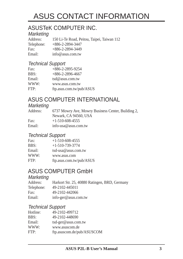# ASUS CONTACT INFORMATION

# ASUSTeK COMPUTER INC.

# Marketing<br>Address:

150 Li-Te Road, Peitou, Taipei, Taiwan 112 Telephone: +886-2-2894-3447 Fax: +886-2-2894-3449 Email: info@asus.com.tw

#### Technical Support

| Fax:   | $+886 - 2 - 2895 - 9254$ |
|--------|--------------------------|
| BBS:   | $+886-2-2896-4667$       |
| Email: | $tsd@$ asus.com.tw       |
| WWW:   | www.asus.com.tw          |
| FTP:   | ftp.asus.com.tw/pub/ASUS |

# ASUS COMPUTER INTERNATIONAL

#### **Marketing**

| Address: | 6737 Mowry Ave, Mowry Business Center, Building 2,<br>Newark, CA 94560, USA |
|----------|-----------------------------------------------------------------------------|
| Fax:     | $+1-510-608-4555$                                                           |
| Email:   | info-usa@asus.com.tw                                                        |

#### Technical Support

| Fax:   | $+1-510-608-4555$        |
|--------|--------------------------|
| BBS:   | $+1-510-739-3774$        |
| Email: | tsd-usa@asus.com.tw      |
| WWW:   | www.asus.com             |
| FTP:   | ftp.asus.com.tw/pub/ASUS |

# ASUS COMPUTER GmbH

#### **Marketing**

| Address:   | Harkort Str. 25, 40880 Ratingen, BRD, Germany |
|------------|-----------------------------------------------|
| Telephone: | 49-2102-445011                                |
| Fax:       | 49-2102-442066                                |
| Email:     | info-ger@asus.com.tw                          |

#### Technical Support

| 49-2102-499712             |
|----------------------------|
| 49-2102-448690             |
| tsd-ger@asus.com.tw        |
| www.asuscom.de             |
| ftp.asuscom.de/pub/ASUSCOM |
|                            |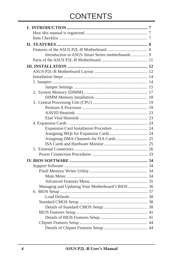# **CONTENTS**

| Managing and Updating Your Motherboard's BIOS 36 |  |
|--------------------------------------------------|--|
|                                                  |  |
|                                                  |  |
|                                                  |  |
|                                                  |  |
|                                                  |  |
|                                                  |  |
|                                                  |  |
|                                                  |  |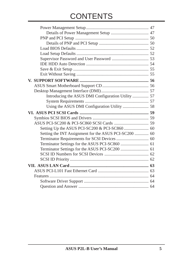# **CONTENTS**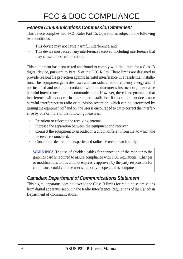### **Federal Communications Commission Statement**

This device complies with FCC Rules Part 15. Operation is subject to the following two conditions:

- This device may not cause harmful interference, and
- This device must accept any interference received, including interference that may cause undesired operation.

This equipment has been tested and found to comply with the limits for a Class B digital device, pursuant to Part 15 of the FCC Rules. These limits are designed to provide reasonable protection against harmful interference in a residential installation. This equipment generates, uses and can radiate radio frequency energy and, if not installed and used in accordance with manufacturer's instructions, may cause harmful interference to radio communications. However, there is no guarantee that interference will not occur in a particular installation. If this equipment does cause harmful interference to radio or television reception, which can be determined by turning the equipment off and on, the user is encouraged to try to correct the interference by one or more of the following measures:

- Re-orient or relocate the receiving antenna.
- Increase the separation between the equipment and receiver.
- Connect the equipment to an outlet on a circuit different from that to which the receiver is connected.
- Consult the dealer or an experienced radio/TV technician for help.

**WARNING!** The use of shielded cables for connection of the monitor to the graphics card is required to assure compliance with FCC regulations. Changes or modifications to this unit not expressly approved by the party responsible for compliance could void the user's authority to operate this equipment.

### **Canadian Department of Communications Statement**

This digital apparatus does not exceed the Class B limits for radio noise emissions from digital apparatus set out in the Radio Interference Regulations of the Canadian Department of Communications.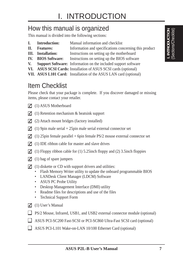# How this manual is organized

This manual is divided into the following sections:

- **I. Introduction:** Manual information and checklist
- **II. Features:** Information and specifications concerning this product
- **III.** Installation: Instructions on setting up the motherboard
- **IV. BIOS Software:** Instructions on setting up the BIOS software
- **V. Support Software:** Information on the included support software
- **VI. ASUS SCSI Cards:** Installation of ASUS SCSI cards (optional)
- **VII. ASUS L101 Card:** Installation of the ASUS LAN card (optional)

# Item Checklist

Please check that your package is complete. If you discover damaged or missing items, please contact your retailer.

- $\Box$  (1) ASUS Motherboard
- $\Box$  (1) Retention mechanism & heatsink support
- $\Box$  (2) Attach mount bridges (factory installed)
- $\Box$  (1) 9pin male serial + 25pin male serial external connector set
- $\Box$  (1) 25pin female parallel + 6pin female PS/2 mouse external connector set
- $\Box$  (1) IDE ribbon cable for master and slave drives
- (1) Floppy ribbon cable for (1) 5.25inch floppy and (2) 3.5inch floppies
- $\Box$  (1) bag of spare jumpers
- $\Box$  (1) diskette or CD with support drivers and utilities:
	- Flash Memory Writer utility to update the onboard programmable BIOS
	- LANDesk Client Manager (LDCM) Software
	- ASUS PC Probe Utility
	- Desktop Management Interface (DMI) utility
	- Readme files for descriptions and use of the files
	- Technical Support Form
- $\Box$  (1) User's Manual
- □ PS/2 Mouse, Infrared, USB1, and USB2 external connector module (optional)
- ASUS PCI-SC200 Fast-SCSI or PCI-SC860 Ultra-Fast SCSI card (optional)
- ASUS PCI-L101 Wake-on-LAN 10/100 Ethernet Card (optional)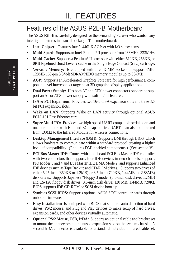# Features of the ASUS P2L-B Motherboard

The ASUS P2L-B is carefully designed for the demanding PC user who wants many intelligent features in a small package. This motherboard:

- **Intel Chipset:** Features Intel's 440LX AGPset with I/O subsystems.
- **Multi-Speed:** Supports an Intel Pentium® II processor from 233MHz–333MHz.
- **Multi-Cache:** Supports a Pentium<sup>®</sup> II processor with either 512KB, 256KB, or 0KB Pipelined Burst Level 2 cache in the Single Edge Contact (SEC) cartridge.
- **Versatile Memory:** Is equipped with three DIMM sockets to support 8MB-128MB 168-pin 3.3Volt SDRAM/EDO memory modules up to 384MB.
- **AGP:** Supports an Accelerated Graphics Port card for high performance, component level interconnect targeted at 3D graphical display applications.
- **Dual Power Supply:** Has both AT and ATX power connectors onboard to support an AT or ATX power supply with soft-on/off features.
- **ISA & PCI Expansion:** Provides two 16-bit ISA expansion slots and three 32 bit PCI expansion slots.
- **Wake on LAN:** Supports Wake on LAN activity through optional ASUS PCI-L101 Fast Ethernet card.
- **Super Multi-I/O:** Provides two high-speed UART compatible serial ports and one parallel port with EPP and ECP capabilities. UART2 can also be directed from COM2 to the Infrared Module for wireless connections.
- **Desktop Management Interface (DMI):** Supports DMI through BIOS which allows hardware to communicate within a standard protocol creating a higher level of compatibility. (Requires DMI-enabled components.) (See section V)
- **PCI Bus Master IDE:** Comes with an onboard PCI Bus Master IDE controller with two connectors that supports four IDE devices in two channels, supports PIO Modes 3 and 4 and Bus Master IDE DMA Mode 2, and supports Enhanced IDE devices such as Tape Backup and CD-ROM drives. Supports two drives of either 5.25-inch (360KB or 1.2MB) or 3.5-inch (720KB, 1.44MB, or 2.88MB) disk drives. Supports Japanese "Floppy 3 mode" (3.5-inch disk drive: 1.2MB) and LS-120 floppy disk drives (3.5-inch disk drive: 120 MB, 1.44MB, 720K). BIOS supports IDE CD-ROM or SCSI device boot-up.
- **Symbios SCSI BIOS:** Supports optional ASUS SCSI controller cards through onboard firmware.
- **Easy Installation:** Is equipped with BIOS that supports auto detection of hard drives, PS/2 mouse, and Plug and Play devices to make setup of hard drives, expansion cards, and other devices virtually automatic.
- **Optional PS/2 Mouse, USB, IrDA:** Supports an optional cable and bracket set to mount the connectors to an unused expansion slot on the system chassis. A second IrDA connector is available for a standard individual infrared cable set.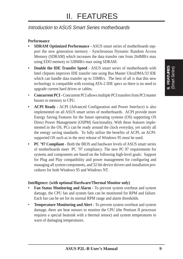#### Introduction to ASUS Smart Series motherboards

#### **Performance**

- **SDRAM Optimized Performance -** ASUS smart series of motherboards support the new generation memory - Synchronous Dynamic Random Access Memory (SDRAM) which increases the data transfer rate from 264MB/s max using EDO memory to 528MB/s max using SDRAM.
- **Double the IDE Transfer Speed** ASUS smart series of motherboards with Intel chipsets improves IDE transfer rate using Bus Master UltraDMA/33 IDE which can handle data transfer up to 33MB/s. The best of all is that this new technology is compatible with existing ATA-2 IDE specs so there is no need to upgrade current hard drives or cables.
- **Concurrent PCI -** Concurrent PCI allows multiple PCI transfers from PCI master busses to memory to CPU.
- **ACPI Ready -** ACPI (Advanced Configuration and Power Interface) is also implemented on all ASUS smart series of motherboards. ACPI provide more Energy Saving Features for the future operating systems (OS) supporting OS Direct Power Management (OSPM) functionality. With these features implemented in the OS, PCs can be ready around the clock everyday, yet satisfy all the energy saving standards. To fully utilize the benefits of ACPI, an ACPIsupported OS such as in the next release of Windows 95 must be used.
- **PC '97 Compliant** Both the BIOS and hardware levels of ASUS smart series of motherboards meet PC '97 compliancy. The new PC 97 requirements for systems and components are based on the following high-level goals: Support for Plug and Play compatibility and power management for configuring and managing all system components, and 32-bit device drivers and installation procedures for both Windows 95 and Windows NT.

#### **Intelligence: (with optional Hardware/Thermal Monitor only)**

- **Fan Status Monitoring and Alarm -** To prevent system overheat and system damage, the CPU fan and system fans can be monitored for RPM and failure. Each fan can be set for its normal RPM range and alarm thresholds.
- **Temperature Monitoring and Alert -** To prevent system overheat and system damage, there are heat sensors to monitor the CPU (the Pentium II processor requires a special heatsink with a thermal sensor) and system temperatures to warn of damaging temperatures.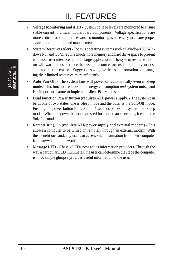- **Voltage Monitoring and Alert -** System voltage levels are monitored to ensure stable current to critical motherboard components. Voltage specifications are more critical for future processors, so monitoring is necessary to ensure proper system configuration and management.
- **System Resources Alert -** Today's operating systems such as Windows 95, Windows NT, and OS/2, require much more memory and hard drive space to present enormous user interfaces and run large applications. The system resource monitor will warn the user before the system resources are used up to prevent possible application crashes. Suggestions will give the user information on managing their limited resources more efficiently.
- **Auto Fan Off -** The system fans will power off automatically **even in sleep mode**. This function reduces both energy consumption *and* **system noise**, and is a important feature to implement silent PC systems.
- **Dual Function Power Button (requires ATX power supply) -** The system can be in one of two states, one is Sleep mode and the other is the Soft-Off mode. Pushing the power button for less than 4 seconds places the system into Sleep mode. When the power button is pressed for more than 4 seconds, it enters the Soft-Off mode.
- **Remote Ring On (requires ATX power supply and external modem) -** This allows a computer to be turned on remotely through an external modem. With this benefit on-hand, any user can access vital information from their computer from anywhere in the world!
- **Message LED -** Chassis LEDs now act as information providers. Through the way a particular LED illuminates, the user can determine the stage the computer is in. A simple glimpse provides useful information to the user.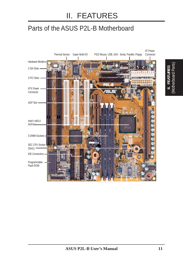# Parts of the ASUS P2L-B Motherboard

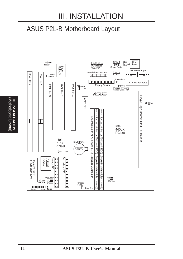# ASUS P2L-B Motherboard Layout

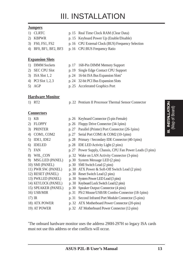#### **Jumpers**

- 1) CLRTC p. 15 Real Time Clock RAM (Clear Data)
- 
- 
- 

#### **Expansion Slots**

- 
- 
- 
- 
- 

#### **Hardware Monitor**

- 2) KBPWR p. 15 Keyboard Power Up (Enable/Disable)
- 3) FS0, FS1, FS2 p. 16 CPU External Clock (BUS) Frequency Selection
- 4) BF0, BF1, BF2, BF3 p. 16 CPU:BUS Frequency Ratio
- 1) DIMM Sockets p. 17 168-Pin DIMM Memory Support
- 2) SEC CPU Slot p. 19 Single Edge Contact CPU Support
- 3) ISA Slot 1, 2 p. 24 16-bit ISA Bus Expansion Slots**\***
- 4) PCI Slot 1, 2, 3 p. 24 32-bit PCI Bus Expansion Slots
- 5) AGP p. 25 Accelerated Graphics Port
- 1) RT2 p. 22 Pentium II Processor Thermal Sensor Connector

#### **Connectors**

- 1) KB p. 26 Keyboard Connector (5-pin Female)
- 2) FLOPPY p. 26 Floppy Drive Connector (34-1pins)
- 3) PRINTER p. 27 Parallel (Printer) Port Connector (26-1pins)
- 4) COM1, COM2 p. 27 Serial Port COM1 & COM2 (10-1pins)
- 5) IDE1, IDE2 p. 28 Primary / Secondary IDE Connector (40-1pins)
- 6) IDELED p. 28 IDE LED Activity Light (2 pins)
- 7) FAN p. 27 Power Supply, Chassis, CPU Fan Power Leads (3 pins)
- 8) W0L\_CON p. 32 Wake on LAN Activity Connector (3-pins)
- 9) MSG.LED (PANEL) p. 30 System Message LED (2 pins)
- 10) SMI (PANEL) p. 30 SMI Switch Lead (2 pins)
- 11) PWR SW. (PANEL) p. 30 ATX Power & Soft-Off Switch Lead (2 pins)
- 12) RESET (PANEL) p. 30 Reset Switch Lead (2 pins)
- 13) PWR.LED (PANEL) p. 30 System Power LED Lead (3 pins)
- 14) KEYLOCK (PANEL) p. 30 Keyboard Lock Switch Lead (2 pins)
- 15) SPEAKER (PANEL) p. 30 Speaker Output Connector (4 pins) 16) USB/MIR p. 31 PS/2 Mouse/USB/IR Combo-Connector (18-1pins)
- 
- 17) IR p. 31 Second Infrared Port Module Connector (5-pins)
- 18) ATX POWER p. 32 ATX Motherboard Power Connector (20-pins)
	-
- 
- 19) AT POWER p. 32 AT Motherboard Power Connector (12-pins)

\* The onboard hardware monitor uses the address 290H-297H so legacy ISA cards must not use this address or else conflicts will occur.

**ASUS P2L-B User's Manual 13**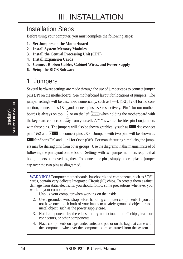# Installation Steps

Before using your computer, you must complete the following steps:

- **1. Set Jumpers on the Motherboard**
- **2. Install System Memory Modules**
- **3. Install the Central Processing Unit (CPU)**
- **4. Install Expansion Cards**
- **5. Connect Ribbon Cables, Cabinet Wires, and Power Supply**
- **6. Setup the BIOS Software**

# 1. Jumpers

Several hardware settings are made through the use of jumper caps to connect jumper pins (JP) on the motherboard. See motherboard layout for locations of jumpers. The jumper settings will be described numerically, such as [----], [1-2], [2-3] for no connection, connect pins 1&2, and connect pins 2&3 respectively. Pin 1 for our motherboards is always on top  $\int_{0}^{\frac{\pi n}{2}}$  or on the left  $\left[\frac{1}{n}$  and when holding the motherboard with the keyboard connector away from yourself. A "1" is written besides pin 1 on jumpers with three pins. The jumpers will also be shown graphically such as  $\mathbf{r} \cdot \mathbf{r}$  to connect pins  $1&2$  and  $\boxed{2 \cdot \cdot \cdot}$  to connect pins  $2&3$ . Jumpers with two pins will be shown as **For Short (On) and**  $\boxed{\blacksquare}$  for Open (Off). For manufacturing simplicity, the jumpers may be sharing pins from other groups. Use the diagrams in this manual instead of following the pin layout on the board. Settings with two jumper numbers require that both jumpers be moved together. To connect the pins, simply place a plastic jumper cap over the two pins as diagramed.

**WARNING!** Computer motherboards, baseboards and components, such as SCSI cards, contain very delicate Integrated Circuit (IC) chips. To protect them against damage from static electricity, you should follow some precautions whenever you work on your computer.

- 1. Unplug your computer when working on the inside.
- 2. Use a grounded wrist strap before handling computer components. If you do not have one, touch both of your hands to a safely grounded object or to a metal object, such as the power supply case.
- 3. Hold components by the edges and try not to touch the IC chips, leads or connectors, or other components.
- 4. Place components on a grounded antistatic pad or on the bag that came with the component whenever the components are separated from the system.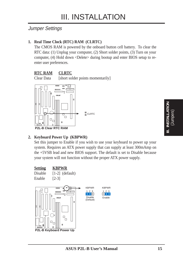#### Jumper Settings

#### **1. Real Time Clock (RTC) RAM (CLRTC)**

The CMOS RAM is powered by the onboard button cell battery. To clear the RTC data: (1) Unplug your computer, (2) Short solder points, (3) Turn on your computer, (4) Hold down <Delete> during bootup and enter BIOS setup to reenter user preferences.

#### **RTC RAM CLRTC**

Clear Data [short solder points momentarily]



#### **2. Keyboard Power Up (KBPWR)**

Set this jumper to Enable if you wish to use your keyboard to power up your system. Requires an ATX power supply that can supply at least 300mAmp on the +5VSB lead and new BIOS support. The default is set to Disable because your system will not function without the proper ATX power supply.





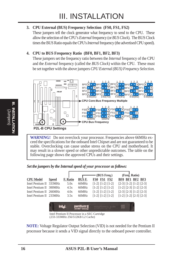#### **3. CPU External (BUS) Frequency Selection (FS0, FS1, FS2)**

These jumpers tell the clock generator what frequency to send to the CPU. These allow the selection of the CPU's *External* frequency (or *BUS Clock*). The BUS Clock times the BUS Ratio equals the CPU's *Internal* frequency (the advertised CPU speed).

#### **4. CPU to BUS Frequency Ratio (BF0, BF1, BF2, BF3)**

These jumpers set the frequency ratio between the *Internal* frequency of the CPU and the *External* frequency (called the *BUS Clock*) within the CPU. These must be set together with the above jumpers *CPU External (BUS) Frequency Selection.*



**WARNING!** Do not overclock your processor. Frequencies above 66MHz exceed the specifications for the onboard Intel Chipset and are not guaranteed to be stable. Overclocking can cause undue stress on the CPU and motherboard. It may result in a slower speed or other unpredictable outcomes. The table on the following page shows the approved CPUs and their settings.

*Set the jumpers by the Internal speed of your processor as follows:*

|                         |              |                 |        | $-$ (BUS Freq.)         | (Freq. Ratio)                   |
|-------------------------|--------------|-----------------|--------|-------------------------|---------------------------------|
| <b>CPU Model</b>        | <b>Speed</b> | <b>F.</b> Ratio | BUS F. | FS0 FS1 FS2             | BF0 BF1 BF2 BF3                 |
| Intel Pentium II 333MHz |              | 5.0x            | 66MHz  | $[1-2] [1-2] [1-2]$     | $[2-3] [1-2] [1-2] [2-3]$       |
| Intel Pentium II 300MHz |              | 4.5x            | 66MHz  | $[1-2] [1-2] [1-2]$     | $[1-2]$ $[2-3]$ $[1-2]$ $[2-3]$ |
| Intel Pentium II 266MHz |              | 4.0x            | 66MHz  | $[1-2]$ $[1-2]$ $[1-2]$ | $[2-3]$ $[2-3]$ $[1-2]$ $[2-3]$ |
| Intel Pentium II 233MHz |              | 3.5x            | 66MHz  | $[1-2] [1-2] [1-2]$     | $[1-2] [1-2] [2-3] [2-3]$       |
|                         |              |                 |        |                         |                                 |

| pentlum il |  |
|------------|--|
|------------|--|

Intel Pentium II Processor in a SEC Cartridge (233-333MHz 256/512KB L2 Cache)

**NOTE:** Voltage Regulator Output Selection (VID) is not needed for the Pentium II processor because it sends a VID signal directly to the onboard power controller.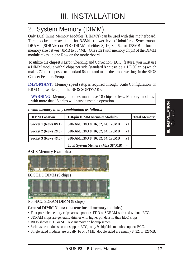# 2. System Memory (DIMM)

Only Dual Inline Memory Modules (DIMM's) can be used with this motherboard. Three sockets are available for **3.3Volt** (power level) Unbuffered Synchronous DRAMs (SDRAM) or EDO DRAM of either 8, 16, 32, 64, or 128MB to form a memory size between 8MB to 384MB. One side (with memory chips) of the DIMM module takes up one Row on the motherboard.

To utilize the chipset's Error Checking and Correction (ECC) feature, you must use a DIMM module with 9 chips per side (standard 8 chips/side + 1 ECC chip) which makes 72bits (opposed to standard 64bits) and make the proper settings in the BIOS Chipset Features Setup.

**IMPORTANT:** Memory speed setup is required through "Auto Configuration" in BIOS Chipset Setup of the BIOS SOFTWARE.

**WARNING:** Memory modules must have 18 chips or less. Memory modules with more that 18 chips will cause unstable operation.

| <b>DIMM</b> Location    | <b>168-pin DIMM Memory Modules</b>     |     | <b>Total Memory</b> |
|-------------------------|----------------------------------------|-----|---------------------|
| Socket 1 (Rows $0&0$ )  | SDRAM/EDO 8, 16, 32, 64, 128MB         | x1  |                     |
| Socket 2 (Rows $2\&3$ ) | SDRAM/EDO 8, 16, 32, 64, 128MB         | x1  |                     |
| Socket 3 (Rows $4&5$ )  | SDRAM/EDO 8, 16, 32, 64, 128MB         | x1  |                     |
|                         | <b>Total System Memory (Max 384MB)</b> | $=$ |                     |

*Install memory in any combination as follows:*

#### **ASUS Memory Examples:**



ECC EDO DIMM (9 chips)



#### Non-ECC SDRAM DIMM (8 chips)

#### **General DIMM Notes: (not true for all memory modules)**

- Four possible memory chips are supported: EDO or SDRAM with and without ECC.
- SDRAM chips are generally thinner with higher pin density than EDO chips.
- BIOS shows EDO or SDRAM memory on bootup screen.
- 8 chip/side modules do not support ECC, only 9 chip/side modules support ECC.
- Single sided modules are usually 16 or 64 MB, double sided are usually 8, 32, or 128MB.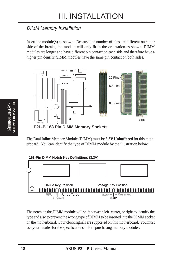### DIMM Memory Installation

Insert the module(s) as shown. Because the number of pins are different on either side of the breaks, the module will only fit in the orientation as shown. DIMM modules are longer and have different pin contact on each side and therefore have a higher pin density. SIMM modules have the same pin contact on both sides.



The Dual Inline Memory Module (DIMM) must be **3.3V Unbuffered** for this motherboard. You can identify the type of DIMM module by the illustration below:



The notch on the DIMM module will shift between left, center, or right to identify the type and also to prevent the wrong type of DIMM to be inserted into the DIMM socket on the motherboard. Four clock signals are supported on this motherboard. You must ask your retailer for the specifications before purchasing memory modules.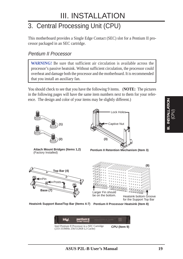# 3. Central Processing Unit (CPU)

This motherboard provides a Single Edge Contact (SEC) slot for a Pentium II processor packaged in an SEC cartridge.

#### Pentium II Processor

**WARNING!** Be sure that sufficient air circulation is available across the processor's passive heatsink. Without sufficient circulation, the processor could overheat and damage both the processor and the motherboard. It is recommended that you install an auxiliary fan.

You should check to see that you have the following 9 items. (**NOTE:** The pictures in the following pages will have the same item numbers next to them for your reference. The design and color of your items may be slightly different.)



**Attach Mount Bridges (Items 1,2)** (Factory Installed)



**Pentium II Retention Mechanism (Item 3)**





**Heatsink Support Base/Top Bar (Items 4-7)** Pentium II Processor Heatsink (Item 8)

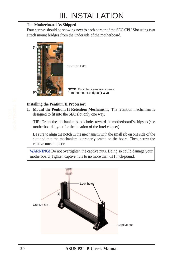#### **The Motherboard As Shipped**

Four screws should be showing next to each corner of the SEC CPU Slot using two attach mount bridges from the underside of the motherboard.



#### **Installing the Pentium II Processor:**

**1. Mount the Pentium II Retention Mechanism:** The retention mechanism is designed to fit into the SEC slot only one way.

**TIP:** Orient the mechanism's lock holes toward the motherboard's chipsets (see motherboard layout for the location of the Intel chipset).

Be sure to align the notch in the mechanism with the small rib on one side of the slot and that the mechanism is properly seated on the board. Then, screw the captive nuts in place.

**WARNING!** Do not overtighten the captive nuts. Doing so could damage your motherboard. Tighten captive nuts to no more than 6±1 inch/pound.

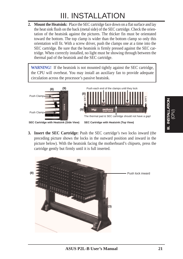**2. Mount the Heatsink:** Place the SEC cartridge face down on a flat surface and lay the heat sink flush on the back (metal side) of the SEC cartridge. Check the orientation of the heatsink against the pictures. The thicker fin must be orientated toward the bottom. The top clamp is wider than the bottom clamp so only this orientation will fit. With a screw driver, push the clamps one at a time into the SEC cartridge. Be sure that the heatsink is firmly pressed against the SEC cartridge. When correctly installed, no light must be showing through between the thermal pad of the heatsink and the SEC cartridge.

**WARNING!** If the heatsink is not mounted tightly against the SEC cartridge, the CPU will overheat. You may install an auxiliary fan to provide adequate circulation across the processor's passive heatsink.



**3. Insert the SEC Cartridge:** Push the SEC cartridge's two locks inward (the preceding picture shows the locks in the outward position and inward in the picture below). With the heatsink facing the motherboard's chipsets, press the cartridge gently but firmly until it is full inserted.



I. INSTALLATION<br>(CPU) **III. INSTALLATION**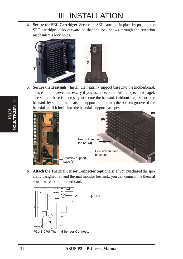**4. Secure the SEC Cartridge:** Secure the SEC cartridge in place by pushing the SEC cartridge locks outward so that the lock shows through the retention mechanism's lock holes.



**5. Secure the Heatsink:** Install the heatsink support base into the motherboard. This is not, however, necessary if you use a heatsink with fan (see next page). The support base is necessary to secure the heatsink (without fan). Secure the heatsink by sliding the heatsink support top bar into the bottom groove of the heatsink until it locks into the heatsink support base posts.



**6. Attach the Thermal Sensor Connector (optional):** If you purchased the specially designed fan and thermal monitor heatsink, you can connect the thermal sensor wire to the motherboard.

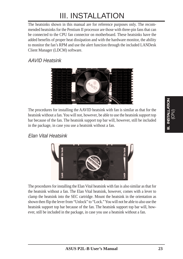The heatsinks shown in this manual are for reference purposes only. The recommended heatsinks for the Pentium II processor are those with three-pin fans that can be connected to the CPU fan connector on motherboard. These heatsinks have the added benefits of proper heat dissipation and with the hardware monitor, the ability to monitor the fan's RPM and use the alert function through the included LANDesk Client Manager (LDCM) software.

### AAVID Heatsink



The procedures for installing the AAVID heatsink with fan is similar as that for the heatsink without a fan. You will not, however, be able to use the heatsink support top bar because of the fan. The heatsink support top bar will, however, still be included in the package, in case you use a heatsink without a fan.

#### Elan Vital Heatsink



The procedures for installing the Elan Vital heatsink with fan is also similar as that for the heatsink without a fan. The Elan Vital heatsink, however, comes with a lever to clamp the heatsink into the SEC cartridge. Mount the heatsink in the orientation as shown then flip the lever from "Unlock" to "Lock." You will not be able to also use the heatsink support top bar because of the fan. The heatsink support top bar will, however, still be included in the package, in case you use a heatsink without a fan.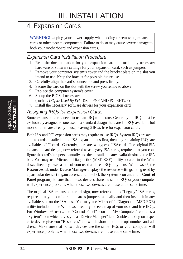# 4. Expansion Cards

**WARNING!** Unplug your power supply when adding or removing expansion cards or other system components. Failure to do so may cause severe damage to both your motherboard and expansion cards.

#### Expansion Card Installation Procedure

- 1. Read the documentation for your expansion card and make any necessary hardware or software settings for your expansion card, such as jumpers.
- 2. Remove your computer system's cover and the bracket plate on the slot you intend to use. Keep the bracket for possible future use.
- 3. Carefully align the card's connectors and press firmly.
- 4. Secure the card on the slot with the screw you removed above.
- 5. Replace the computer system's cover.
- 6. Set up the BIOS if necessary (such as *IRQ xx Used By ISA: Yes* in PNP AND PCI SETUP)
- 7. Install the necessary software drivers for your expansion card.

### Assigning IRQs for Expansion Cards

Some expansion cards need to use an IRQ to operate. Generally an IRQ must be exclusively assigned to one use. In a standard design there are 16 IRQs available but most of them are already in use, leaving 6 IRQs free for expansion cards.

Both ISA and PCI expansion cards may require to use IRQs. System IRQs are available to cards installed in the ISA expansion bus first, then any remaining IRQs are available to PCI cards. Currently, there are two types of ISA cards. The original ISA expansion card design, now referred to as legacy ISA cards, requires that you configure the card's jumpers manually and then install it in any available slot on the ISA bus. You may use Microsoft Diagnostics (MSD.EXE) utility located in the Windows directory to see a map of your used and free IRQs. If you use Windows 95, the **Resources** tab under **Device Manager** displays the resource settings being used by a particular device (to gain access, double-click the **System** icon under the **Control Panel** program). Ensure that no two devices share the same IRQs or your computer will experience problems when those two devices are in use at the same time.

The original ISA expansion card design, now referred to as "Legacy" ISA cards, requires that you configure the card's jumpers manually and then install it in any available slot on the ISA bus. You may use Microsoft's Diagnostic (MSD.EXE) utility included in the Windows directory to see a map of your used and free IRQs. For Windows 95 users, the "Control Panel" icon in "My Computer," contains a "System" icon which gives you a "Device Manager" tab. Double clicking on a specific device give you "Resources" tab which shows the Interrupt number and address. Make sure that no two devices use the same IRQs or your computer will experience problems when those two devices are in use at the same time.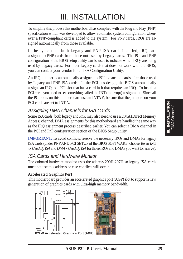To simplify this process this motherboard has complied with the Plug and Play (PNP) specification which was developed to allow automatic system configuration whenever a PNP-compliant card is added to the system. For PNP cards, IRQs are assigned automatically from those available.

If the system has both Legacy and PNP ISA cards installed, IRQs are assigned to PNP cards from those not used by Legacy cards. The PCI and PNP configuration of the BIOS setup utility can be used to indicate which IRQs are being used by Legacy cards. For older Legacy cards that does not work with the BIOS, you can contact your vendor for an ISA Configuration Utility.

An IRQ number is automatically assigned to PCI expansion cards after those used by Legacy and PNP ISA cards. In the PCI bus design, the BIOS automatically assigns an IRQ to a PCI slot that has a card in it that requires an IRQ. To install a PCI card, you need to set something called the INT (interrupt) assignment. Since all the PCI slots on this motherboard use an INTA #, be sure that the jumpers on your PCI cards are set to INT A.

### Assigning DMA Channels for ISA Cards

Some ISA cards, both legacy and PnP, may also need to use a DMA (Direct Memory Access) channel. DMA assignments for this motherboard are handled the same way as the IRQ assignment process described earlier. You can select a DMA channel in the PCI and PnP configuration section of the BIOS Setup utility.

**IMPORTANT:** To avoid conflicts, reserve the necessary IRQs and DMAs for legacy ISA cards (under PNP AND PCI SETUP of the BIOS SOFTWARE, choose *Yes* in *IRQ xx Used By ISA* and *DMA x Used By ISA* for those IRQs and DMAs you want to reserve).

#### ISA Cards and Hardware Monitor

The onboard hardware monitor uses the address 290H-297H so legacy ISA cards must not use this address or else conflicts will occur.

#### **Accelerated Graphics Port**

This motherboard provides an accelerated graphics port (AGP) slot to support a new generation of graphics cards with ultra-high memory bandwidth.

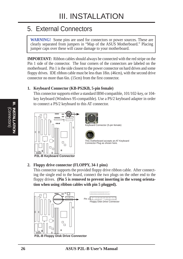# 5. External Connectors

**WARNING!** Some pins are used for connectors or power sources. These are clearly separated from jumpers in "Map of the ASUS Motherboard." Placing jumper caps over these will cause damage to your motherboard.

**IMPORTANT:** Ribbon cables should always be connected with the red stripe on the Pin 1 side of the connector. The four corners of the connectors are labeled on the motherboard. Pin 1 is the side closest to the power connector on hard drives and some floppy drives. IDE ribbon cable must be less than 18in. (46cm), with the second drive connector no more than 6in. (15cm) from the first connector.

#### **1. Keyboard Connector (KB-PS2KB, 5-pin female)**

This connector supports either a standard IBM-compatible, 101/102-key, or 104 key keyboard (Windows 95-compatible). Use a PS/2 keyboard adapter in order to connect a PS/2 keyboard to this AT connector.





Keyboard Connector (5-pin female)



This motherboard accepts an AT Keyboard Connector Plug as shown here.

**P2L-B Keyboard Connector**

#### **2. Floppy drive connector (FLOPPY, 34-1 pins)**

This connector supports the provided floppy drive ribbon cable. After connecting the single end to the board, connect the two plugs on the other end to the floppy drives. **(Pin 5 is removed to prevent inserting in the wrong orientation when using ribbon cables with pin 5 plugged).**



(Connectors) **III. INSTALLATION**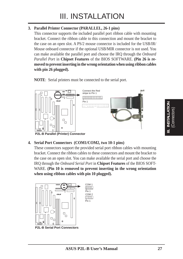#### **3. Parallel Printer Connector (PARALLEL, 26-1 pins)**

This connector supports the included parallel port ribbon cable with mounting bracket. Connect the ribbon cable to this connection and mount the bracket to the case on an open slot. A PS/2 mouse connector is included for the USB/IR/ Mouse onboard connector if the optional USB/MIR connector is not used. You can make available the parallel port and choose the IRQ through the *Onboard Parallel Port* in **Chipset Features** of the BIOS SOFTWARE. **(Pin 26 is removed to prevent inserting in the wrong orientation when using ribbon cables with pin 26 plugged).**

**NOTE**: Serial printers must be connected to the serial port.



#### **4. Serial Port Connectors (COM1/COM2, two 10-1 pins)**

These connectors support the provided serial port ribbon cables with mounting bracket. Connect the ribbon cables to these connectors and mount the bracket to the case on an open slot. You can make available the serial port and choose the IRQ through the *Onboard Serial Port* in **Chipset Features** of the BIOS SOFT-WARE. **(Pin 10 is removed to prevent inserting in the wrong orientation when using ribbon cables with pin 10 plugged).**



**P2L-B Serial Port Connectors**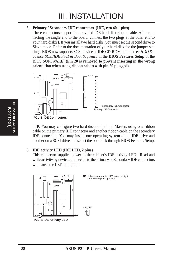#### **5. Primary / Secondary IDE connectors (IDE, two 40-1 pins)**

These connectors support the provided IDE hard disk ribbon cable. After connecting the single end to the board, connect the two plugs at the other end to your hard disk(s). If you install two hard disks, you must set the second drive to Slave mode. Refer to the documentation of your hard disk for the jumper settings. BIOS now supports SCSI device or IDE CD-ROM bootup (see *HDD Sequence SCSI/IDE First* & *Boot Sequence* in the **BIOS Features Setup** of the BIOS SOFTWARE) **(Pin 20 is removed to prevent inserting in the wrong orientation when using ribbon cables with pin 20 plugged).**



**TIP:** You may configure two hard disks to be both Masters using one ribbon cable on the primary IDE connector and another ribbon cable on the secondary IDE connector. You may install one operating system on an IDE drive and another on a SCSI drive and select the boot disk through BIOS Features Setup.

#### **6. IDE activity LED (IDE LED, 2 pins)**

This connector supplies power to the cabinet's IDE activity LED. Read and write activity by devices connected to the Primary or Secondary IDE connectors will cause the LED to light up.

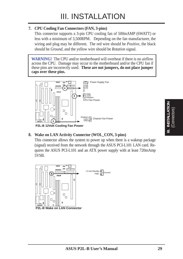#### **7. CPU Cooling Fan Connectors (FAN, 3-pins)**

This connector supports a 3-pin CPU cooling fan of 500mAMP (6WATT) or less with a minimum of 3,500RPM. Depending on the fan manufacturer, the wiring and plug may be different. The red wire should be *Positive*, the black should be *Ground*, and the yellow wire should be *Rotation* signal.

**WARNING!** The CPU and/or motherboard will overheat if there is no airflow across the CPU. Damage may occur to the motherboard and/or the CPU fan if these pins are incorrectly used. **These are not jumpers, do not place jumper caps over these pins.**



**P2L-B 12Volt Cooling Fan Power**

#### **8. Wake on LAN Activity Connector (WOL\_CON, 3-pins)**

This connector allows the system to power up when there is a wakeup package (signal) received from the network through the ASUS PCI-L101 LAN card. Requires the ASUS PCI-L101 and an ATX power supply with at least 720mAmp 5VSB.

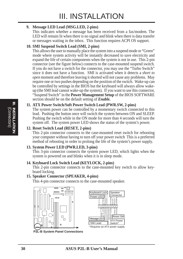#### **9. Message LED Lead (MSG.LED, 2-pins)**

This indicates whether a message has been received from a fax/modem. The LED will remain lit when there is no signal and blink when there is data transfer or messages waiting in the inbox. This function requires ACPI OS support.

#### **10. SMI Suspend Switch Lead (SMI, 2-pins)**

This allows the user to manually place the system into a suspend mode or "Green" mode where system activity will be instantly decreased to save electricity and expand the life of certain components when the system is not in use. This 2-pin connector (see the figure below) connects to the case-mounted suspend switch. If you do not have a switch for the connector, you may use the "Turbo Switch" since it does not have a function. SMI is activated when it detects a *short to open* moment and therefore leaving it shorted will not cause any problems. May require one or two pushes depending on the position of the switch. Wake-up can be controlled by settings in the BIOS but the keyboard will always allow wakeup (the SMI lead cannot wake-up the system). If you want to use this connector, "Suspend Switch" in the **Power Management Setup** of the BIOS SOFTWARE section should be on the default setting of *Enable.*

#### **11. ATX Power Switch/Soft Power Switch Lead (PWR.SW, 2-pins)**

The system power can be controlled by a momentary switch connected to this lead. Pushing the button once will switch the system between ON and SLEEP. Pushing the switch while in the ON mode for more than 4 seconds will turn the system off. The system power LED shows the status of the system's power.

#### **12. Reset Switch Lead (RESET, 2-pins)**

This 2-pin connector connects to the case-mounted reset switch for rebooting your computer without having to turn off your power switch This is a preferred method of rebooting in order to prolong the life of the system's power supply.

#### **13. System Power LED (PWR.LED, 3-pins)**

This 3-pin connector connects the system power LED, which lights when the system is powered on and blinks when it is in sleep mode.

#### **14. Keyboard Lock Switch Lead (KEYLOCK, 2-pins)**

This 2-pin connector connects to the case-mounted key switch to allow keyboard locking.

#### **15. Speaker Connector (SPEAKER, 4-pins)**

This 4-pin connector connects to the case-mounted speaker.





**P2L-B System Panel Connections**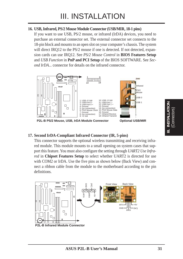#### **16. USB, Infrared, PS/2 Mouse Module Connector (USB/MIR, 18-1 pins)**

If you want to use USB, PS/2 mouse, or infrared (IrDA) devices, you need to purchase an external connector set. The external connector set connects to the 18-pin block and mounts to an open slot on your computer's chassis. The system will direct IRQ12 to the PS/2 mouse if one is detected. If not detected, expansion cards can use IRQ12. See *PS/2 Mouse Control* in **BIOS Features Setup** and *USB Function* in **PnP and PCI Setup** of the BIOS SOFTWARE. See *Second IrDA...* connector for details on the infrared connector.



**P2L-B PS/2 Mouse, USB, IrDA Module Connector**

#### **17. Second IrDA-Compliant Infrared Connector (IR, 5-pins)**

This connector supports the optional wireless transmitting and receiving infrared module. This module mounts to a small opening on system cases that support this feature. You must also configure the setting through *UART2 Use Infrared* in **Chipset Features Setup** to select whether UART2 is directed for use with COM2 or IrDA. Use the five pins as shown below (Back View) and connect a ribbon cable from the module to the motherboard according to the pin definitions.

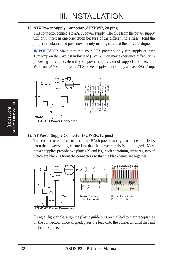#### **18. ATX Power Supply Connector (ATXPWR, 20-pins)**

This connector connects to a ATX power supply. The plug from the power supply will only insert in one orientation because of the different hole sizes. Find the proper orientation and push down firmly making sure that the pins are aligned.

**IMPORTANT:** Make sure that your ATX power supply can supply at least 10mAmp on the 5-volt standby lead (5VSB). You may experience difficulty in powering on your system if your power supply cannot support the load. For Wake on LAN support, your ATX power supply must supply at least 720mAmp.



#### **19. AT Power Supply Connector (POWER, 12-pins)**

This connector connects to a standard 5 Volt power supply. To connect the leads from the power supply, ensure first that the power supply is not plugged. Most power supplies provide two plugs (P8 and P9), each containing six wires, two of which are black. Orient the connectors so that the black wires are together.



Using a slight angle, align the plastic guide pins on the lead to their receptacles on the connector. Once aligned, press the lead onto the connector until the lead locks into place.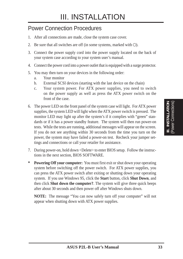### Power Connection Procedures

- 1. After all connections are made, close the system case cover.
- 2. Be sure that all switches are off (in some systems, marked with  $\bigcirc$ ).
- 3. Connect the power supply cord into the power supply located on the back of your system case according to your system user's manual.
- 4. Connect the power cord into a power outlet that is equipped with a surge protector.
- 5. You may then turn on your devices in the following order:
	- a. Your monitor
	- b. External SCSI devices (starting with the last device on the chain)
	- c. Your system power. For ATX power supplies, you need to switch on the power supply as well as press the ATX power switch on the front of the case.
- 6. The power LED on the front panel of the system case will light. For ATX power supplies, the system LED will light when the ATX power switch is pressed. The monitor LED may light up after the system's if it complies with "green" standards or if it has a power standby feature. The system will then run power-on tests. While the tests are running, additional messages will appear on the screen. If you do not see anything within 30 seconds from the time you turn on the power, the system may have failed a power-on test. Recheck your jumper settings and connections or call your retailer for assistance.
- 7. During power-on, hold down <Delete> to enter BIOS setup. Follow the instructions in the next section, BIOS SOFTWARE.
- **\* Powering Off your computer:** You must first exit or shut down your operating system before switching off the power switch. For ATX power supplies, you can press the ATX power switch after exiting or shutting down your operating system. If you use Windows 95, click the **Start** button, click **Shut Down**, and then click **Shut down the computer?**. The system will give three quick beeps after about 30 seconds and then power off after Windows shuts down.

**NOTE:** The message "You can now safely turn off your computer" will not appear when shutting down with ATX power supplies.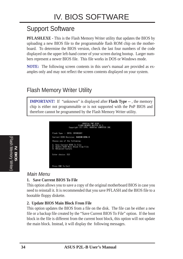# Support Software

**PFLASH.EXE -** This is the Flash Memory Writer utility that updates the BIOS by uploading a new BIOS file to the programmable flash ROM chip on the motherboard. To determine the BIOS version, check the last four numbers of the code displayed on the upper left-hand corner of your screen during bootup. Larger numbers represent a newer BIOS file. This file works in DOS or Windows mode.

**NOTE:** The following screen contents in this user's manual are provided as examples only and may not reflect the screen contents displayed on your system.

### Flash Memory Writer Utility

**IMPORTANT!** If "unknown" is displayed after **Flash Type --**, the memory chip is either not programmable or is not supported with the PnP BIOS and therefore cannot be programmed by the Flash Memory Writer utility.



#### Main Menu

#### **1. Save Current BIOS To File**

This option allows you to save a copy of the original motherboard BIOS in case you need to reinstall it. It is recommended that you save PFLASH and the BIOS file to a bootable floppy diskette.

#### **2. Update BIOS Main Block From File**

This option updates the BIOS from a file on the disk. The file can be either a new file or a backup file created by the "Save Current BIOS To File" option. If the boot block in the file is different from the current boot block, this option will not update the main block. Instead, it will display the following messages.

**IV. BIOS** (Flash Memory Writer)

(Flash Memory Writer)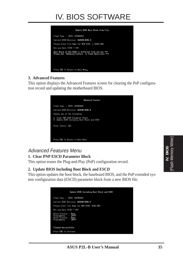# IV. BIOS SOFTWARE



#### **3. Advanced Features**

This option displays the Advanced Features screen for clearing the PnP configuration record and updating the motherboard BIOS.



### Advanced Features Menu

#### **1. Clear PNP ESCD Parameter Block**

This option erases the Plug-and-Play (PnP) configuration record.

#### **2. Update BIOS Including Boot Block and ESCD**

This option updates the boot block, the baseboard BIOS, and the PnP extended system configuration data (ESCD) parameter block from a new BIOS file.

| Update BIOS Including Boot Block and ESCD                                                      |
|------------------------------------------------------------------------------------------------|
| Flash Tupe -- INTEL 28F001BXT                                                                  |
| Current BIOS Revision: M&B1AB-0204-8                                                           |
| Please Enter File Name for NEM BIOS: 0205.003                                                  |
| fire you Sure [Y/N] 7 [Y]                                                                      |
| Block Erasing -- Done<br>Programming -- IFFFF<br>Block Erasing -- Dome<br>Programming -- IDFFF |
| Flashed Successfully                                                                           |
| Press ESC To Continue                                                                          |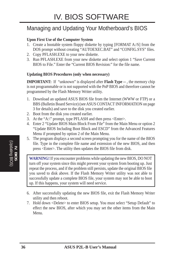### Managing and Updating Your Motherboard's BIOS

#### **Upon First Use of the Computer System**

- 1. Create a bootable system floppy diskette by typing [FORMAT A:/S] from the DOS prompt without creating "AUTOEXEC.BAT" and "CONFIG.SYS" files.
- 2. Copy PFLASH.EXE to your new diskette.
- 3. Run PFLASH.EXE from your new diskette and select option 1 "Save Current BIOS to File." Enter the "Current BIOS Revision:" for the file name.

#### **Updating BIOS Procedures (only when necessary)**

**IMPORTANT:** If "unknown" is displayed after **Flash Type --**, the memory chip is not programmable or is not supported with the PnP BIOS and therefore cannot be programmed by the Flash Memory Writer utility.

- 1. Download an updated ASUS BIOS file from the Internet (WWW or FTP) or a BBS (Bulletin Board Service) (see ASUS CONTACT INFORMATION on page 3 for details) and save to the disk you created earlier.
- 2. Boot from the disk you created earlier.
- 3. At the "A:\" prompt, type PFLASH and then press <Enter>.
- 4. Enter 2 "Update BIOS Main Block From File" from the Main Menu or option 2 "Update BIOS Including Boot Block and ESCD" from the Advanced Features Menu if prompted by option 2 of the Main Menu.
- 5. The program displays a second screen prompting you for the name of the BIOS file. Type in the complete file name and extension of the new BIOS, and then press <Enter>. The utility then updates the BIOS file from disk.

**WARNING!** If you encounter problems while updating the new BIOS, DO NOT turn off your system since this might prevent your system from booting up. Just repeat the process, and if the problem still persists, update the original BIOS file you saved to disk above. If the Flash Memory Writer utility was not able to successfully update a complete BIOS file, your system may not be able to boot up. If this happens, your system will need service.

- 6. After successfully updating the new BIOS file, exit the Flash Memory Writer utility and then reboot.
- 7. Hold down <Delete> to enter BIOS setup. You must select "Setup Default" to effect the new BIOS, after which you may set the other items from the Main Menu.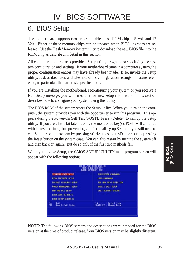# 6. BIOS Setup

The motherboard supports two programmable Flash ROM chips: 5 Volt and 12 Volt. Either of these memory chips can be updated when BIOS upgrades are released. Use the Flash Memory Writer utility to download the new BIOS file into the ROM chip as described in detail in this section.

All computer motherboards provide a Setup utility program for specifying the system configuration and settings. If your motherboard came in a computer system, the proper configuration entries may have already been made. If so, invoke the Setup utility, as described later, and take note of the configuration settings for future reference; in particular, the hard disk specifications.

If you are installing the motherboard, reconfiguring your system or you receive a Run Setup message, you will need to enter new setup information. This section describes how to configure your system using this utility.

The BIOS ROM of the system stores the Setup utility. When you turn on the computer, the system provides you with the opportunity to run this program. This appears during the Power-On Self Test (POST). Press <Delete> to call up the Setup utility. If you are a little bit late pressing the mentioned key(s), POST will continue with its test routines, thus preventing you from calling up Setup. If you still need to call Setup, reset the system by pressing  $\langle \text{Ctrl} \rangle + \langle \text{Alt} \rangle + \langle \text{Delete} \rangle$ , or by pressing the Reset button on the system case. You can also restart by turning the system off and then back on again. But do so only if the first two methods fail.

When you invoke Setup, the CMOS SETUP UTILITY main program screen will appear with the following options:

|                                                                                                                                                                                 | <b>BIOS (P2L-B)</b><br>CNOS SETUP UTILITY<br>CHOSE SOFTWARE, THE                                                        |
|---------------------------------------------------------------------------------------------------------------------------------------------------------------------------------|-------------------------------------------------------------------------------------------------------------------------|
| STANDARD CHOS SETUP<br><b>BIGS FEATURES SETUP</b><br>CHIPSET FEATURES SETUP<br><b>FONER MONDENENT SETIEF</b><br>PMP AND PCT SETUP<br>LORD BIDS DEFINETS<br>LORD SETUP DEFINIETS | SEPERVISOR PRESSURE<br>USER PRSSHORD<br><b>ICE HID AUTO DETECTION</b><br>SAVE 8 EXT SETUP<br><b>EXIT VITHOUT SAVING</b> |
| <b>Dutt</b><br>se mi<br>Save & Emit Setup                                                                                                                                       | Select Item<br>ShiftlF2<br><b>Change Color</b>                                                                          |

**NOTE:** The following BIOS screens and descriptions were intended for the BIOS version at the time of product release. Your BIOS version may be slightly different.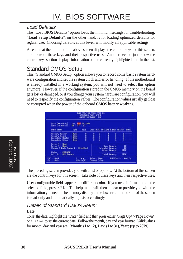### Load Defaults

The "Load BIOS Defaults" option loads the minimum settings for troubleshooting. "**Load Setup Defaults**", on the other hand, is for loading optimized defaults for regular use. Choosing defaults at this level, will modify all applicable settings.

A section at the bottom of the above screen displays the control keys for this screen. Take note of these keys and their respective uses. Another section just below the control keys section displays information on the currently highlighted item in the list.

# Standard CMOS Setup

This "Standard CMOS Setup" option allows you to record some basic system hardware configuration and set the system clock and error handling. If the motherboard is already installed in a working system, you will not need to select this option anymore. However, if the configuration stored in the CMOS memory on the board gets lost or damaged, or if you change your system hardware configuration, you will need to respecify the configuration values. The configuration values usually get lost or corrupted when the power of the onboard CMOS battery weakens.

|                                                                                      |                                        | STRADARD CHOS SETUP<br>ANARD SOFTWARE, INC. |   |                                    |                                |                                      |                  |      |
|--------------------------------------------------------------------------------------|----------------------------------------|---------------------------------------------|---|------------------------------------|--------------------------------|--------------------------------------|------------------|------|
| Date (mm:dd:yy) : Tuo, Feb 24.1998<br>$Time$ [hh:mm:ss] : 20 = 57 : 17<br>HIRD DISKS | <b>TWFE</b>                            | <b>SIZE</b>                                 |   |                                    | CYLS HEAD PRECOMP LIMIX SECTOR |                                      |                  | HILL |
| Primery Master<br>Primaru Slave<br>Secondary Naster<br>Secondary Slave               | None<br>Norse.<br>Nome<br><b>Hume-</b> | ő<br>ā                                      | ò | 日本語の                               | ă<br>ā                         | 日本語                                  |                  |      |
| Drive A = Nome<br>Drive B - None<br>Floppy 3 Mode Support : Disabled                 |                                        |                                             |   |                                    | Extended Manney:               | <b>Base Memory:</b><br>Other Memory: | <b>K</b><br>51次  |      |
| <b>Video</b><br><b>EGRANDR</b><br><b>All Errors</b><br>Halt On                       |                                        |                                             |   |                                    |                                | <b>Total Monoro:</b>                 | 512K             |      |
| <b>Dut1</b><br><b>ESD</b><br>Help                                                    |                                        | Shift)F2                                    |   | Soloct Iton<br><b>Change Color</b> |                                |                                      | PU/PD/-/- Modify |      |

The preceding screen provides you with a list of options. At the bottom of this screen are the control keys for this screen. Take note of these keys and their respective uses.

User-configurable fields appear in a different color. If you need information on the selected field, press <F1>. The help menu will then appear to provide you with the information you need. The memory display at the lower right-hand side of the screen is read-only and automatically adjusts accordingly.

# Details of Standard CMOS Setup:

#### **Date**

To set the date, highlight the "Date" field and then press either <Page Up>/<Page Down> or  $\langle + \rangle$   $\langle - \rangle$  to set the current date. Follow the month, day and year format. Valid values for month, day and year are: **Month: (1** to **12), Day: (1** to **31), Year: (**up to **2079)**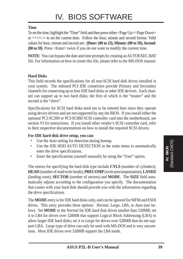#### **Time**

To set the time, highlight the "Time" field and then press either <Page Up>/<Page Down> or  $\langle + \rangle$  to set the current time. Follow the hour, minute and second format. Valid values for hour, minute and second are: **(Hour: (00 to 23), Minute: (00 to 59), Second: (00 to 59)**. Press <Enter> twice if you do not want to modify the current time.

**NOTE:** You can bypass the date and time prompts by creating an AUTOEXEC.BAT file. For information on how to create this file, please refer to the MS-DOS manual.

#### **Hard Disks**

This field records the specifications for all non-SCSI hard disk drives installed in your system. The onboard PCI IDE connectors provide Primary and Secondary channels for connecting up to four IDE hard disks or other IDE devices. Each channel can support up to two hard disks; the first of which is the "master" and the second is the "slave".

Specifications for SCSI hard disks need not to be entered here since they operate using device drivers and are not supported by any the BIOS. If you install either the optional PCI-SC200 or PCI-SC860 SCSI controller card into the motherboard, see section VI for instructions. If you install other vendor's SCSI controller card, refer to their respective documentations on how to install the required SCSI drivers.

#### **For IDE hard disk drive setup, you can:**

- Use the *Auto* setting for detection during bootup.
- Use the IDE HDD AUTO DETECTION in the main menu to automatically enter the drive specifications.
- Enter the specifications yourself manually by using the "User" option.

The entries for specifying the hard disk type include **CYLS** (number of cylinders), **HEAD** (number of read/write heads), **PRECOMP** (write precompensation), **LANDZ** (landing zone), **SECTOR** (number of sectors) and **MODE**. The **SIZE** field automatically adjusts according to the configuration you specify. The documentation that comes with your hard disk should provide you with the information regarding the drive specifications.

The **MODE** entry is for IDE hard disks only, and can be ignored for MFM and ESDI drives. This entry provides three options: *Normal, Large, LBA*, or *Auto* (see below). Set **MODE** to the *Normal* for IDE hard disk drives smaller than 528MB; set it to *LBA* for drives over 528MB that support Logical Block Addressing (LBA) to allow larger IDE hard disks; set it to *Large* for drives over 528MB that do not support LBA. *Large* type of drive can only be used with MS-DOS and is very uncommon. Most IDE drives over 528MB support the *LBA* mode.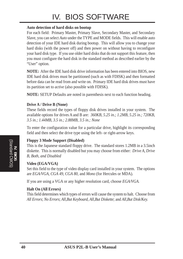# IV. BIOS SOFTWARE

#### **Auto detection of hard disks on bootup**

For each field: Primary Master, Primary Slave, Secondary Master, and Secondary Slave, you can select *Auto* under the TYPE and MODE fields. This will enable auto detection of your IDE hard disk during bootup. This will allow you to change your hard disks (with the power off) and then power on without having to reconfigure your hard disk type. If you use older hard disks that do not support this feature, then you must configure the hard disk in the standard method as described earlier by the "User" option.

**NOTE:** After the IDE hard disk drive information has been entered into BIOS, new IDE hard disk drives must be partitioned (such as with FDISK) and then formatted before data can be read from and write on. Primary IDE hard disk drives must have its partition set to *active* (also possible with FDISK).

**NOTE:** SETUP Defaults are noted in parenthesis next to each function heading.

#### **Drive A / Drive B (None)**

These fields record the types of floppy disk drives installed in your system. The available options for drives A and B are: *360KB, 5.25 in.; 1.2MB, 5.25 in.; 720KB, 3.5 in.; 1.44MB, 3.5 in.; 2.88MB, 3.5 in.; None*

To enter the configuration value for a particular drive, highlight its corresponding field and then select the drive type using the left- or right-arrow keys.

#### **Floppy 3 Mode Support (Disabled)**

This is the Japanese standard floppy drive. The standard stores 1.2MB in a 3.5inch diskette. This is normally disabled but you may choose from either: *Drive A, Drive B, Both, and Disabled*

#### **Video (EGA/VGA)**

Set this field to the type of video display card installed in your system. The options are *EGA/VGA*, *CGA 49*, *CGA 80*, and *Mono* (for Hercules or MDA)*.*

If you are using a VGA or any higher resolution card, choose *EGA/VGA*.

#### **Halt On (All Errors)**

This field determines which types of errors will cause the system to halt. Choose from *All Errors*; *No Errors*; *All*,*But Keyboard, All*,*But Diskette*; and *All,But Disk/Key.*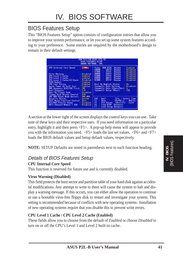## BIOS Features Setup

This "BIOS Features Setup" option consists of configuration entries that allow you to improve your system performance, or let you set up some system features according to your preference. Some entries are required by the motherboard's design to remain in their default settings.

| ним<br><b>BIOS FEATURES SETUP</b><br>ANDRO SOFTWARE, THE                                                                                                                                                                                                                                                                                                                                                                                                                    | PCL/158 B105 (P2L-B)                                                                                                                                                                                                                                                                                                                                                                                                                                                                                                                         |
|-----------------------------------------------------------------------------------------------------------------------------------------------------------------------------------------------------------------------------------------------------------------------------------------------------------------------------------------------------------------------------------------------------------------------------------------------------------------------------|----------------------------------------------------------------------------------------------------------------------------------------------------------------------------------------------------------------------------------------------------------------------------------------------------------------------------------------------------------------------------------------------------------------------------------------------------------------------------------------------------------------------------------------------|
| <b>CFU Internal Core Speed</b><br>120Mhz<br><b>Virus Harning</b><br>Disabled<br>CPU Lovel 1 Cacho<br>Enab Lied:<br><b>Enshited</b><br>CPU Level 2 Cache<br>Disabled<br>CPU Level 2 Cache ECC Check<br><b>BIOS Update</b><br>Enabled<br><b>CPU Fast String</b><br>Enablait<br><b>Daick Power On Self Test</b><br>Enabled<br>HDD Seguence SCSI/IDE First<br>ΙŒ<br>t. A<br>Boot Sequence<br>Disabled<br><b>Boot Up Floopy Seek</b><br>Flopey Disk Access Control<br><b>HAV</b> | Video<br><b>ROM BITIS</b><br>Shadow<br><b>Englished</b><br><b>CS880</b><br><b>CBFFF</b><br>Shadow<br><b>Distabled</b><br><b>CEFFE</b><br>03908<br>Shadow<br>Disabled<br>۰<br>02003<br><b>DSFFF</b><br><b>Disabled</b><br>Shadow<br>٠<br><b>DABBB</b><br><b>DJFFF</b><br>÷<br>Disabled<br>Shadow<br>DBFFF<br>78888<br>Dissbled<br>Shadow<br>÷<br>DEFFE<br>DCARR<br><b>Uitabled</b><br>Shadon<br><b>Boot Up NumLock Status</b><br>0n.<br>lypematic Rate Setting<br>Disabled<br>vpomatic Rate (Chars/Sec):<br>6<br>250<br>Voematic Delaw (Msec) |
| <b>IDE HID Block Mode Sectors</b><br>HDD NFX<br>Security Option<br>Suntem<br>PS/2 Mouse Function Control<br><b>Huto</b><br>PCI/WGR Palette Snoop<br><b>Disabled</b><br>OS/2 Onboard Newary > 64M<br><b>Disabled</b>                                                                                                                                                                                                                                                         | ESC<br><b>Ti++ : Seleci Ilem</b><br><b>Out 1</b><br>售<br>Help.<br>$PU/PU/-/-$<br>Modify<br><b>Old Values</b><br><b>ShiftJF2</b><br>Color<br>F6<br>Load BIDS<br>Defaul in<br>Load Selum Defaults                                                                                                                                                                                                                                                                                                                                              |

A section at the lower right of the screen displays the control keys you can use. Take note of these keys and their respective uses. If you need information on a particular entry, highlight it and then press  $\langle F1 \rangle$ . A pop-up help menu will appear to provide you with the information you need. <F5> loads the last set values, <F6> and <F7> loads the BIOS default values and Setup default values, respectively.

**NOTE:** SETUP Defaults are noted in parenthesis next to each function heading.

#### Details of BIOS Features Setup

#### **CPU Internal Core Speed**

This function is reserved for future use and is currently disabled.

#### **Virus Warning (Disabled)**

This field protects the boot sector and partition table of your hard disk against accidental modifications. Any attempt to write to them will cause the system to halt and display a warning message. If this occurs, you can either allow the operation to continue or use a bootable virus-free floppy disk to restart and investigate your system. This setting is recommended because of conflicts with new operating systems. Installation of new operating systems require that you disable this to prevent write errors.

#### **CPU Level 1 Cache / CPU Level 2 Cache (Enabled)**

These fields allow you to choose from the default of *Enabled* or choose *Disabled* to turn on or off the CPU's Level 1 and Level 2 built-in cache.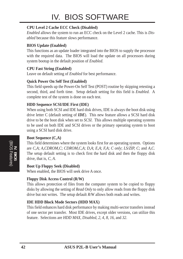#### **CPU Level 2 Cache ECC Check (Disabled)**

*Enabled* allows the system to run an ECC check on the Level 2 cache. This is *Disabled* because this feature slows performance.

#### **BIOS Update (Enabled)**

This functions as an update loader integrated into the BIOS to supply the processor with the required data. The BIOS will load the update on all processors during system bootup in the default position of *Enabled*.

#### **CPU Fast String (Enabled)**

Leave on default setting of *Enabled* for best performance.

#### **Quick Power On Self Test (Enabled)**

This field speeds up the Power-On Self Test (POST) routine by skipping retesting a second, third, and forth time. Setup default setting for this field is *Enabled*. A complete test of the system is done on each test.

#### **HDD Sequence SCSI/IDE First (IDE)**

When using both SCSI and IDE hard disk drives, IDE is always the boot disk using drive letter C (default setting of *IDE*). This new feature allows a SCSI hard disk drive to be the boot disk when set to *SCSI*. This allows multiple operating systems to be used on both IDE and SCSI drives or the primary operating system to boot using a SCSI hard disk drive.

#### **Boot Sequence (C,A)**

This field determines where the system looks first for an operating system. Options are *C,A*; *A,CDROM,C*; *CDROM,C,A*; *D,A*; *E,A*; *F,A*; *C only*; *LS/ZIP, C*; and *A,C*. The setup default setting is to check first the hard disk and then the floppy disk drive, that is, *C, A*.

#### **Boot Up Floppy Seek (Disabled)**

When enabled, the BIOS will seek drive A once.

#### **Floppy Disk Access Control (R/W)**

This allows protection of files from the computer system to be copied to floppy disks by allowing the setting of *Read Only* to only allow reads from the floppy disk drive but not writes. The setup default *R/W* allows both reads and writes.

#### **IDE HDD Block Mode Sectors (HDD MAX)**

This field enhances hard disk performance by making multi-sector transfers instead of one sector per transfer. Most IDE drives, except older versions, can utilize this feature. Selections are *HDD MAX*, *Disabled*, *2*, *4*, *8*, *16*, and *32*.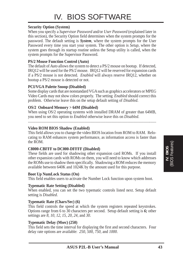#### **Security Option (System)**

When you specify a *Supervisor Password* and/or *User Password* (explained later in this section), the Security Option field determines when the system prompts for the password. The default setting is *System*, where the system prompts for the User Password every time you start your system. The other option is *Setup*, where the system goes through its startup routine unless the Setup utility is called, when the system prompts for the Supervisor Password.

#### **PS/2 Mouse Function Control (Auto)**

The default of *Auto* allows the system to detect a PS/2 mouse on bootup. If detected, IRQ12 will be used for the PS/2 mouse. IRQ12 will be reserved for expansion cards if a PS/2 mouse is not detected. *Enabled* will always reserve IRQ12, whether on bootup a PS/2 mouse is detected or not.

#### **PCI/VGA Palette Snoop (Disabled)**

Some display cards that are nonstandard VGA such as graphics accelerators or MPEG Video Cards may not show colors properly. The setting *Enabled* should correct this problem. Otherwise leave this on the setup default setting of *Disabled*.

#### **OS/2 Onboard Memory > 64M (Disabled)**

When using OS/2 operating systems with installed DRAM of greater than 64MB, you need to set this option to *Enabled* otherwise leave this on *Disabled*.

......................................................................................................................................

#### **Video ROM BIOS Shadow (Enabled)**

This field allows you to change the video BIOS location from ROM to RAM. Relocating to RAM enhances system performance, as information access is faster than the ROM.

#### **C8000-CBFFF to DC000-DFFFF (Disabled)**

These fields are used for shadowing other expansion card ROMs. If you install other expansion cards with ROMs on them, you will need to know which addresses the ROMs use to shadow them specifically. Shadowing a ROM reduces the memory available between 640K and 1024K by the amount used for this purpose.

#### **Boot Up NumLock Status (On)**

This field enables users to activate the Number Lock function upon system boot.

#### **Typematic Rate Setting (Disabled)**

When enabled, you can set the two typematic controls listed next. Setup default setting is *Disabled*.

#### **Typematic Rate (Chars/Sec) (6)**

This field controls the speed at which the system registers repeated keystrokes. Options range from 6 to 30 characters per second. Setup default setting is *6;* other settings are *8*, *10*, *12*, *15*, *20*, *24*, and *30*.

#### **Typematic Delay (Msec) (250)**

This field sets the time interval for displaying the first and second characters. Four delay rate options are available: *250*, *500*, *750*, and *1000*.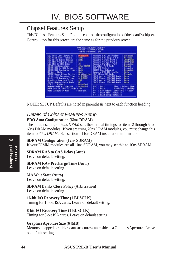### Chipset Features Setup

This "Chipset Features Setup" option controls the configuration of the board's chipset. Control keys for this screen are the same as for the previous screen.

| EDO Ruto Configuration<br><b>EDO Wead Burst Timing</b> | <b>Disabled</b><br>$*333$             | <b>Onboard FDC Controller</b><br><b>Onlinerd FDC Swap R S B</b> | Disabled<br><b>No. Swap</b> |
|--------------------------------------------------------|---------------------------------------|-----------------------------------------------------------------|-----------------------------|
| EDO Write Burst Timing                                 | $\times 333$                          | <b>Onboard Serial Port 1</b>                                    | SFORFTROA                   |
| EDO BAS Precharge Time                                 |                                       | Onboard Serial Port 2                                           | <b>SEBUTROS</b>             |
| EDO RAS to CAS Delay                                   | 댎                                     | <b>Unioard Parallel Port</b>                                    | Disabled                    |
| SURFM Configuration                                    | 12ns: SIGHM                           | <b>Parallel Port Mode</b>                                       | <b>Normal</b>               |
| SONAM RAS to CAS Delay                                 | <b>Butn</b>                           | <b>FCP DMA Select Company</b>                                   | Disabled                    |
| SDRIM RRS Precharge Time                               | fkato.                                | UGR12 Use Infrared                                              | Disabled                    |
| Mi Mait State                                          | <b>Buto</b>                           | <b>Onboard PCI IDE Enable</b>                                   | <b>Both</b>                 |
| SDAGM Banks Close Policy<br>16-bit 1/0 Recovery line   | <b>Orbitration</b><br><b>4 BUSCLK</b> | <b>IDE UI tra DNR Mode</b><br>IDEB Master PID/IMR Mede          | Dismile<br>flicto.          |
| B-bit L/U Recovery lime                                | <b>B BUGCLK</b>                       | IEED Slave PIO/DMR Mode                                         | <b>Buto</b>                 |
| Graphics Roeriure Size                                 | <b>CHB</b>                            | <b>IBE1 Master PTO/IMA Mode</b>                                 | <b>Buto</b>                 |
| Video Memory Cache Mode                                | UC.                                   | IBE1 Slave PIO/BMF Mode                                         | Buto                        |
| PCI 2.1 Support                                        | Dismbled                              |                                                                 |                             |
| Memory Hole At 15M-16M                                 | <b>Disabled</b>                       | <b>Out 1</b><br>ESC                                             | <b>Ti++ : Salaci Ilem</b>   |
| DRRM are 64 INot 72) bits wide                         |                                       | 雋<br>Heto:<br>PU/PO/+/- =                                       | Madify                      |
| <b>Data Integrity Mode</b>                             | Non-ECC                               | Old Values [Shift]F2                                            | Color                       |
|                                                        |                                       | Fб<br>Load BIDS Defaults<br>Load Setup Defaults                 |                             |

**NOTE:** SETUP Defaults are noted in parenthesis next to each function heading.

#### Details of Chipset Features Setup **EDO Auto Configuration (60ns DRAM)**

The default setting of *60ns DRAM* sets the optimal timings for items 2 through 5 for 60ns DRAM modules. If you are using 70ns DRAM modules, you must change this item to *70ns DRAM*. See section III for DRAM installation information.

**SDRAM Configuration (12ns SDRAM)**

If your DIMM modules are all 10ns SDRAM, you may set this to 10ns SDRAM.

#### **SDRAM RAS to CAS Delay (Auto)**

Leave on default setting.

#### **SDRAM RAS Precharge Time (Auto)**

Leave on default setting.

#### **MA Wait State (Auto)**

Leave on default setting.

**SDRAM Banks Close Policy (Arbitration)**

Leave on default setting.

#### **16-bit I/O Recovery Time (1 BUSCLK)**

Timing for 16-bit ISA cards. Leave on default setting.

#### **8-bit I/O Recovery Time (1 BUSCLK)**

Timing for 8-bit ISA cards. Leave on default setting.

#### **Graphics Aperture Size (64MB)**

Memory-mapped, graphics data structures can reside in a Graphics Aperture. Leave on default setting.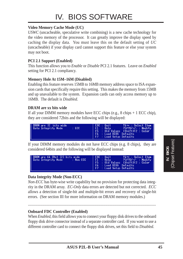# IV. BIOS SOFTWARE

#### **Video Memory Cache Mode (UC)**

*USWC* (uncacheable, speculative write combining) is a new cache technology for the video memory of the processor. It can greatly improve the display speed by caching the display data. You must leave this on the default setting of *UC* (uncacheable) if your display card cannot support this feature or else your system may not boot.

#### **PCI 2.1 Support (Enabled)**

This function allows you to *Enable* or *Disable* PCI 2.1 features. Leave on *Enabled* setting for PCI 2.1 compliancy.

#### **Memory Hole At 15M–16M (Disabled)**

Enabling this feature reserves 15MB to 16MB memory address space to ISA expansion cards that specifically require this setting. This makes the memory from 15MB and up unavailable to the system. Expansion cards can only access memory up to 16MB. The default is *Disabled*.

#### **DRAM are xx bits wide**

If all your DIMM memory modules have ECC chips  $(e.g., 8 chips + 1 ECC chip)$ , they are considered 72bits and the following will be displayed:



If your DIMM memory modules do not have ECC chips (e.g. 8 chips), they are considered 64bits and the following will be displayed instead:



#### **Data Integrity Mode (Non-ECC)**

*Non-ECC* has byte-wise write capability but no provision for protecting data integrity in the DRAM array. *EC-Only* data errors are detected but not corrected. *ECC* allows a detection of single-bit and multiple-bit errors and recovery of single-bit errors. (See section III for more information on DRAM memory modules.)

....................................................................................................................................

#### **Onboard FDC Controller (Enabled)**

When *Enabled*, this field allows you to connect your floppy disk drives to the onboard floppy disk drive connector instead of a separate controller card. If you want to use a different controller card to connect the floppy disk drives, set this field to *Disabled*.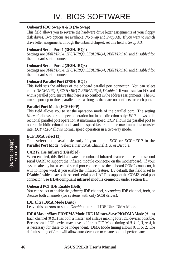#### **Onboard FDC Swap A & B (No Swap)**

This field allows you to reverse the hardware drive letter assignments of your floppy disk drives. Two options are available: *No Swap* and *Swap AB*. If you want to switch drive letter assignments through the onboard chipset, set this field to *Swap AB*.

#### **Onboard Serial Port 1 (3F8H/IRQ4)**

Settings are *3F8H/IRQ4*, *2F8H/IRQ3, 3E8H/IRQ4, 2E8H/IRQ10,* and *Disabled* for the onboard serial connector.

#### **Onboard Serial Port 2 (2F8H/IRQ3)**

Settings are *3F8H/IRQ4, 2F8H/IRQ3*, *3E8H/IRQ4, 2E8H/IRQ10,* and *Disabled* for the onboard serial connector.

#### **Onboard Parallel Port (378H/IRQ7)**

This field sets the address of the onboard parallel port connector. You can select either: *3BCH / IRQ 7, 378H / IRQ 7, 278H / IRQ 5, Disabled.* If you install an I/O card with a parallel port, ensure that there is no conflict in the address assignments. The PC can support up to three parallel ports as long as there are no conflicts for each port.

#### **Parallel Port Mode (ECP+EPP)**

This field allows you to set the operation mode of the parallel port. The setting *Normal*, allows normal-speed operation but in one direction only; *EPP* allows bidirectional parallel port operation at maximum speed; *ECP* allows the parallel port to operate in bidirectional mode and at a speed faster than the maximum data transfer rate; *ECP+EPP* allows normal speed operation in a two-way mode.

#### **ECP DMA Select (3)**

This selection is available only if you select *ECP* or *ECP+EPP* in the **Parallel Port Mode**. Select either DMA Channel *1, 3*, or *Disable*.

#### **UART2 Use Infrared (Disabled)**

When enabled, this field activates the onboard infrared feature and sets the second serial UART to support the infrared module connector on the motherboard. If your system already has a second serial port connected to the onboard COM2 connector, it will no longer work if you enable the infrared feature. By default, this field is set to *Disabled*, which leaves the second serial port UART to support the COM2 serial port connector. See **IrDA-compliant infrared module connector** under section III**.**

#### **Onboard PCI IDE Enable (Both)**

You can select to enable the *primary* IDE channel, *secondary* IDE channel, *both*, or *disable* both channels (for systems with only SCSI drives).

#### **IDE Ultra DMA Mode (Auto)**

Leave this on *Auto* or set to *Disable* to turn off IDE Ultra DMA Mode.

#### **IDE 0 Master/Slave PIO/DMA Mode, IDE 1 Master/Slave PIO/DMA Mode (Auto)**

Each channel  $(0 \& 1)$  has both a master and a slave making four IDE devices possible. Because each IDE device may have a different PIO Mode timing of *0, 1, 2, 3, or 4*, it is necessary for these to be independent. DMA Mode timing allows 0, 1, or 2. The default setting of *Auto* will allow auto-detection to ensure optimal performance.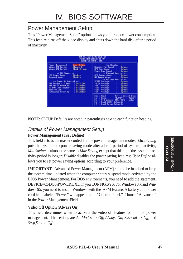### Power Management Setup

This "Power Management Setup" option allows you to reduce power consumption. This feature turns off the video display and shuts down the hard disk after a period of inactivity.

|                                                                                                                                                                                                                                                                                                                                                                                                                                                   | ANDRO SOFTWARE, TNC.                                                                                                                                                                                                                                                                                                                                                                                                                                                                                                                                                                                                                        |
|---------------------------------------------------------------------------------------------------------------------------------------------------------------------------------------------------------------------------------------------------------------------------------------------------------------------------------------------------------------------------------------------------------------------------------------------------|---------------------------------------------------------------------------------------------------------------------------------------------------------------------------------------------------------------------------------------------------------------------------------------------------------------------------------------------------------------------------------------------------------------------------------------------------------------------------------------------------------------------------------------------------------------------------------------------------------------------------------------------|
| User Define<br><b>Power Handgewent</b><br>Video Off Oution<br><b>Always On</b><br>Video Off Method<br><b>Blank Screen</b><br>** PH Timerit **<br>HDD Power Down<br>: Disable<br>: Disable<br>Second Bride<br>** Fower to Control<br><br><b>PWR Button &lt; 4 Secs</b><br>Seft Off<br>PWH Up On Nodon Ref.<br>Dispbled<br><b>AC PWR Loss Restart</b><br>Dischled<br><b>Hoke On LAN</b><br>Disabled<br><b>Butowalic Power Up</b><br><b>Bisobled</b> | ** Fan Monstor<br><br><b>Chassis Fan Speed</b> +<br>Ismare<br>CPU Fan Speed<br><b>Junore</b><br>Power Fim Speed<br>Immre<br>** Thormal Monitor **<br><b>CPU Texperature</b><br><b>Januare</b><br><b>HB Temperature</b><br>Intore<br>** Voltage Manitor **<br><b>VCORE Voltage</b><br>lunore<br>-3.3V Voltage<br>Isnnra<br>$+5W$<br>Voltage<br>I unane.<br>$\frac{129}{59}$<br>Voltage<br>Isnore<br><b>Vol Lage</b><br><b>Turner</b><br>Voltage<br>Ismore<br>ESC<br><b>Duit</b><br><b>Ti++ : Seleci Ilem</b><br>得<br>Help.<br>PU/PU/+/- =<br>Modify<br>Old Values (Shift)F2<br>Color<br>F6<br>Load BIOS Defaults<br>п<br>Load Setup Defaults |

**NOTE:** SETUP Defaults are noted in parenthesis next to each function heading.

#### Details of Power Management Setup

#### **Power Management (User Define)**

This field acts as the master control for the power management modes. *Max Saving* puts the system into power saving mode after a brief period of system inactivity; *Min Saving* is almost the same as *Max Saving* except that this time the system inactivity period is longer; *Disable* disables the power saving features; *User Define* allows you to set power saving options according to your preference.

**IMPORTANT:** Advanced Power Management (APM) should be installed to keep the system time updated when the computer enters suspend mode activated by the BIOS Power Management. For DOS environments, you need to add the statement, DEVICE=C:\DOS\POWER.EXE, in you CONFIG.SYS. For Windows 3.x and Windows 95, you need to install Windows with the APM feature. A battery and power cord icon labeled "Power" will appear in the "Control Panel." Choose "Advanced" in the Power Management Field.

#### **Video Off Option (Always On)**

This field determines when to activate the video off feature for monitor power management. The settings are *All Modes -> Off*; *Always On*; *Suspend -> Off*; and *Susp,Stby -> Off .*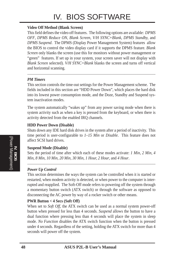# IV. BIOS SOFTWARE

#### **Video Off Method (Blank Screen)**

This field defines the video off features. The following options are available: *DPMS OFF*, *DPMS Reduce ON*, *Blank Screen*, *V/H SYNC+Blank, DPMS Standby,* and *DPMS Suspend*. The DPMS (Display Power Management System) features allow the BIOS to control the video display card if it supports the DPMS feature. *Blank Screen* only blanks the screen (use this for monitors without power management or "green" features. If set up in your system, your screen saver will not display with *Blank Screen* selected). *V/H SYNC+Blank* blanks the screen and turns off vertical and horizontal scanning.

#### *PM Timers*

This section controls the time-out settings for the Power Management scheme. The fields included in this section are "HDD Power Down", which places the hard disk into its lowest power consumption mode, and the Doze, Standby and Suspend system inactivation modes.

The system automatically "wakes up" from any power saving mode when there is system activity such as when a key is pressed from the keyboard, or when there is activity detected from the enabled IRQ channels.

#### **HDD Power Down (Disable)**

Shuts down any IDE hard disk drives in the system after a period of inactivity. This time period is user-configurable to *1–15 Min* or *Disable*. This feature does not affect SCSI hard drives.

#### **Suspend Mode (Disable)**

Sets the period of time after which each of these modes activate: *1 Min*, *2 Min*, *4 Min*, *8 Min*, *10 Min*, *20 Min*, *30 Min*, *1 Hour, 2 Hour*, and *4 Hour*.

.......................................................................................................................................

#### *Power Up Control*

This section determines the ways the system can be controlled when it is started or restarted, when modem activity is detected, or when power to the computer is interrupted and reapplied. The Soft-Off mode refers to powering off the system through a momentary button switch (ATX switch) or through the software as opposed to disconnecting the AC power by way of a rocker switch or other means.

#### **PWR Button < 4 Secs (Soft Off)**

When set to *Soft Off*, the ATX switch can be used as a normal system power-off button when pressed for less than 4 seconds. *Suspend* allows the button to have a dual function where pressing less than 4 seconds will place the system in sleep mode. *No Function* disables the ATX switch function when the button is pressed under 4 seconds. Regardless of the setting, holding the ATX switch for more than 4 seconds will power off the system.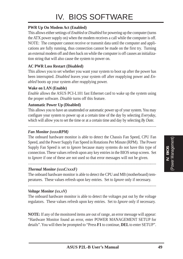#### **PWR Up On Modem Act (Enabled)**

This allows either settings of *Enabled* or *Disabled* for powering up the computer (turns the ATX power supply on) when the modem receives a call while the computer is off. NOTE: The computer cannot receive or transmit data until the computer and applications are fully running, thus connection cannot be made on the first try. Turning an external modem off and then back on while the computer is off causes an initialization string that will also cause the system to power on.

#### **AC PWR Loss Restart (Disabled)**

This allows you to set whether you want your system to boot up after the power has been interrupted. *Disabled* leaves your system off after reapplying power and *Enabled* boots up your system after reapplying power.

#### **Wake on LAN (Enable)**

*Enable* allows the ASUS PCI-L101 fast Ethernet card to wake up the system using the proper software. *Disable* turns off this feature.

#### **Automatic Power Up (Disabled)**

This allows you to have an unattended or automatic power up of your system. You may configure your system to power up at a certain time of the day by selecting *Everyday*, which will allow you to set the time or at a certain time and day by selecting *By Date.*

.....................................................................................................................................

#### *Fan Monitor (xxxxRPM)*

The onboard hardware monitor is able to detect the Chassis Fan Speed, CPU Fan Speed, and the Power Supply Fan Speed in Rotations Per Minute (RPM). The Power Supply Fan Speed is set to *Ignore* because many systems do not have this type of connection. These values refresh upon any key entries in the BIOS setup screen. Set to *Ignore* if one of these are not used so that error messages will not be given.

#### *Thermal Monitor (xxxC/xxxF)*

The onboard hardware monitor is able to detect the CPU and MB (motherboard) temperatures. These values refresh upon key entries. Set to *Ignore* only if necessary.

.....................................................................................................................................

.....................................................................................................................................

#### *Voltage Monitor (xx.xV)*

The onboard hardware monitor is able to detect the voltages put out by the voltage regulators. These values refresh upon key entries. Set to *Ignore* only if necessary.

**NOTE:** If any of the monitored items are out of range, an error message will appear: "Hardware Monitor found an error, enter POWER MANAGEMENT SETUP for details". You will then be prompted to "Press **F1** to continue, **DEL** to enter SETUP".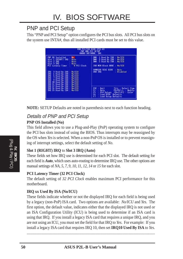### PNP and PCI Setup

This "PNP and PCI Setup" option configures the PCI bus slots. All PCI bus slots on the system use INTA#, thus all installed PCI cards must be set to this value.

| <b>PMP OS Installed</b><br><b>No.</b><br>Stal 1 (RISHT) IRO<br>Fut=<br><b>Slot 2 IRO</b><br><b>Buto</b><br>Slot 3 IRO<br>fluto<br><b>B</b> PEL Eleck<br><b>PCI Latincy Timer</b><br>1NU<br>3 Used By ISR<br>No/ICB<br>IRÚ<br>& Used Dv ISA<br>Ma/3CU<br>IRQ<br>5 Used By ISO<br>No/3CU<br>IRU<br>7 Used By ISR<br>No./3CO.<br><b>IHU</b><br>9 Used By ISR<br>No/TCU<br><b>IRO</b><br>10 Used By ISB<br>No/TCD<br>IHO<br>11 Used By ISB<br>No/ICB | No/ICU<br><b>DHH</b><br>1 Used By ISR<br>DH1<br>3 Used By ISB<br>No. TCB<br>No./TCB<br>5 Used By ISB<br>DHH<br>No/3CU<br><b>150 MEN Block BBSE</b><br>SVMBIOS SCSI BIOS<br><b>Suto</b><br><b>Disabled</b><br>USB IRD |
|--------------------------------------------------------------------------------------------------------------------------------------------------------------------------------------------------------------------------------------------------------------------------------------------------------------------------------------------------------------------------------------------------------------------------------------------------|----------------------------------------------------------------------------------------------------------------------------------------------------------------------------------------------------------------------|
| IRÚ<br>No/TCU<br>12 Used By ISA<br>IRO<br>14 Used By ISB<br>No./TCU<br>IRQ 15 Used By ISH<br>No/ICII                                                                                                                                                                                                                                                                                                                                             | <b>Out 1</b><br><b>Ti++ : Seleci Ilem</b><br>評信<br>Hetp:<br>PU/PD/-/- =<br>Madifu<br><b>Old Values</b><br><b>ShiftIF2</b><br>Color<br>F6<br>Load BIDS<br>-Defaults<br>Load Setup Defaults                            |

**NOTE:** SETUP Defaults are noted in parenthesis next to each function heading.

#### Details of PNP and PCI Setup **PNP OS Installed (No)**

This field allows you to use a Plug-and-Play (PnP) operating system to configure the PCI bus slots instead of using the BIOS. Thus interrupts may be reassigned by the OS when *Yes* is selected. When a non-PnP OS is installed or to prevent reassigning of interrupt settings, select the default setting of *No*.

#### **Slot 1 (RIGHT) IRQ** to **Slot 3 IRQ (Auto)**

These fields set how IRQ use is determined for each PCI slot. The default setting for each field is *Auto*, which uses auto-routing to determine IRQ use. The other options are manual settings of *NA, 5, 7, 9, 10, 11, 12, 14* or *15* for each slot.

#### **PCI Latency Timer (32 PCI Clock)**

The default setting of *32 PCI Clock* enables maximum PCI performance for this motherboard.

#### **IRQ xx Used By ISA (No/ICU)**

These fields indicate whether or not the displayed IRQ for each field is being used by a legacy (non-PnP) ISA card. Two options are available: *No/ICU* and *Yes*. The first option, the default value, indicates either that the displayed IRQ is not used or an ISA Configuration Utility (ICU) is being used to determine if an ISA card is using that IRQ. If you install a legacy ISA card that requires a unique IRQ, and you are not using an ICU, you must set the field for that IRQ to *Yes*. For example: If you install a legacy ISA card that requires IRQ 10, then set **IRQ10 Used By ISA** to *Yes*.

......................................................................................................................................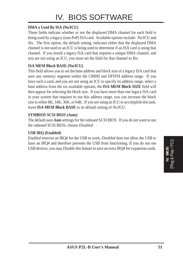#### **DMA x Used By ISA (No/ICU)**

These fields indicate whether or not the displayed DMA channel for each field is being used by a legacy (non-PnP) ISA card. Available options include: *No/ICU* and *Yes*. The first option, the default setting, indicates either that the displayed DMA channel is not used or an ICU is being used to determine if an ISA card is using that channel. If you install a legacy ISA card that requires a unique DMA channel, and you are not using an ICU, you must set the field for that channel to *Yes*.

#### **ISA MEM Block BASE (No/ICU)**

This field allows you to set the base address and block size of a legacy ISA card that uses any memory segment within the C800H and DFFFH address range. If you have such a card, and you are not using an ICU to specify its address range, select a base address from the six available options; the **ISA MEM Block SIZE** field will then appear for selecting the block size. If you have more than one legacy ISA card in your system that requires to use this address range, you can increase the block size to either 8K, 16K, 36K, or 64K. If you are using an ICU to accomplish this task, leave **ISA MEM Block BASE** to its default setting of *No/ICU*.

#### **SYMBIOS SCSI BIOS (Auto)**

The default uses *Auto* settings for the onboard SCSI BIOS. If you do not want to use the onboard SCSI BIOS, choose *Disabled*

#### **USB IRQ (Enabled)**

*Enabled* reserves an IRQ# for the USB to work, *Disabled* does not allow the USB to have an IRQ# and therefore prevents the USB from functioning. If you do not use USB devices, you may *Disable* this feature to save an extra IRQ# for expansion cards.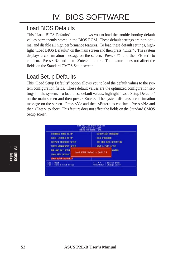## Load BIOS Defaults

This "Load BIOS Defaults" option allows you to load the troubleshooting default values permanently stored in the BIOS ROM. These default settings are non-optimal and disable all high performance features. To load these default settings, highlight "Load BIOS Defaults" on the main screen and then press <Enter>. The system displays a confirmation message on the screen. Press  $\langle Y \rangle$  and then  $\langle$ Enter $\rangle$  to confirm. Press  $\langle N \rangle$  and then  $\langle$ Enter $\rangle$  to abort. This feature does not affect the fields on the Standard CMOS Setup screen.

### Load Setup Defaults

This "Load Setup Defaults" option allows you to load the default values to the system configuration fields. These default values are the optimized configuration settings for the system. To load these default values, highlight "Load Setup Defaults" on the main screen and then press <Enter>. The system displays a confirmation message on the screen. Press  $\langle Y \rangle$  and then  $\langle$ Enter $\rangle$  to confirm. Press  $\langle N \rangle$  and then <Enter> to abort. This feature does not affect the fields on the Standard CMOS Setup screen.

| <b>STANGARD CNOS SETUP</b>                     |                                               | SEPERATSON PRSSNORD                                           |
|------------------------------------------------|-----------------------------------------------|---------------------------------------------------------------|
| <b>BIOS FEATURES SETUP</b>                     |                                               | USER PRSSHOUD                                                 |
| CHIPSET FEMALES SETUP                          |                                               | <b>LOE HOD GUTO DETECTION</b>                                 |
| 北胡宝 相前居班时 经卫星                                  |                                               | SAVE & EXTT SETUP                                             |
| <b>DNP FIND PCT SETUP</b><br>LOND BIDS DEFINED | <b>SHVING</b><br>Load SETUP Defaults (V/N)? # |                                                               |
| LORD SETUP DEFINILTS                           |                                               |                                                               |
| $c = 0$ uit<br>F10 : Savo & Emil Selup         |                                               | Select Item<br>$\frac{1}{\sin \theta}$<br><b>Change Color</b> |

(Load Defaults) **IV. BIOS**<br>(Load Defaults)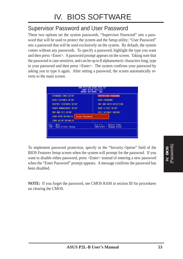### Supervisor Password and User Password

These two options set the system passwords. "Supervisor Password" sets a password that will be used to protect the system and the Setup utility; "User Password" sets a password that will be used exclusively on the system. By default, the system comes without any passwords. To specify a password, highlight the type you want and then press <Enter>. A password prompt appears on the screen. Taking note that the password is case sensitive, and can be up to 8 alphanumeric characters long, type in your password and then press <Enter>. The system confirms your password by asking you to type it again. After setting a password, the screen automatically reverts to the main screen.



To implement password protection, specify in the "Security Option" field of the BIOS Features Setup screen when the system will prompt for the password. If you want to disable either password, press <Enter> instead of entering a new password when the "Enter Password" prompt appears. A message confirms the password has been disabled.

**NOTE:** If you forget the password, see CMOS RAM in section III for procedures on clearing the CMOS.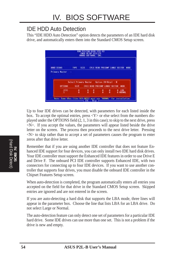### IDE HDD Auto Detection

This "IDE HDD Auto Detection" option detects the parameters of an IDE hard disk drive, and automatically enters them into the Standard CMOS Setup screen.



Up to four IDE drives can be detected, with parameters for each listed inside the box. To accept the optimal entries, press  $\langle Y \rangle$  or else select from the numbers displayed under the OPTIONS field (2, 1, 3 in this case); to skip to the next drive, press <N>. If you accept the values, the parameters will appear listed beside the drive letter on the screen. The process then proceeds to the next drive letter. Pressing  $\langle N \rangle$  to skip rather than to accept a set of parameters causes the program to enter zeros after that drive letter.

Remember that if you are using another IDE controller that does not feature Enhanced IDE support for four devices, you can only install two IDE hard disk drives. Your IDE controller must support the Enhanced IDE features in order to use Drive E and Drive F. The onboard PCI IDE controller supports Enhanced IDE, with two connectors for connecting up to four IDE devices. If you want to use another controller that supports four drives, you must disable the onboard IDE controller in the Chipset Features Setup screen.

When auto-detection is completed, the program automatically enters all entries you accepted on the field for that drive in the Standard CMOS Setup screen. Skipped entries are ignored and are not entered in the screen.

If you are auto-detecting a hard disk that supports the LBA mode, three lines will appear in the parameter box. Choose the line that lists LBA for an LBA drive. Do not select Large or Normal.

The auto-detection feature can only detect one set of parameters for a particular IDE hard drive. Some IDE drives can use more than one set. This is not a problem if the drive is new and empty.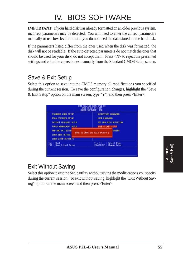# IV. BIOS SOFTWARE

**IMPORTANT:** If your hard disk was already formatted on an older previous system, incorrect parameters may be detected. You will need to enter the correct parameters manually or use low-level format if you do not need the data stored on the hard disk.

If the parameters listed differ from the ones used when the disk was formatted, the disk will not be readable. If the auto-detected parameters do not match the ones that should be used for your disk, do not accept them. Press <N> to reject the presented settings and enter the correct ones manually from the Standard CMOS Setup screen.

### Save & Exit Setup

Select this option to save into the CMOS memory all modifications you specified during the current session. To save the configuration changes, highlight the "Save & Exit Setup" option on the main screen, type "Y", and then press  $\leq$  Enter $\geq$ .

| STANDARD CNOS SETUP           | SEPERATSON POSSITION           |
|-------------------------------|--------------------------------|
| <b>BIOS FEATURES SETUP</b>    | USER PRSSHORD                  |
| CHIPSET FEATURES SETUP        | <b>ICE HID AUTO DETECTION</b>  |
| <b>FONER MINAGEMENT SETUP</b> | SAVE & EXTT SETUP              |
| PMP AND PCT SETUP             | <b>SHVING</b>                  |
| LOND BIDS DEFINILE            | SINE to CHOS and EXIT TV/NJ7 V |
| LORD SETUP DEFINIERS          |                                |
| <b>Duit</b>                   | Select Item                    |
| Esc -                         | t 1 + 4                        |
| Save & Emil Setup             | (Shift)F2 +                    |
| F10 :                         | <b>Change Color</b>            |

# Exit Without Saving

Select this option to exit the Setup utility without saving the modifications you specify during the current session. To exit without saving, highlight the "Exit Without Saving" option on the main screen and then press <Enter>.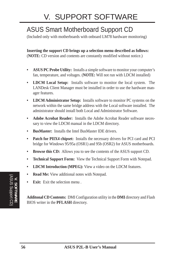# ASUS Smart Motherboard Support CD

(Included only with motherboards with onboard LM78 hardware monitoring)

**Inserting the support CD brings up a selection menu described as follows:** (**NOTE:** CD version and contents are constantly modified without notice.)

- **ASUS PC Probe Utility:** Installs a simple software to monitor your computer's fan, temperature, and voltages. (**NOTE:** Will not run with LDCM installed)
- **LDCM Local Setup:** Installs software to monitor the local system. The LANDesk Client Manager must be installed in order to use the hardware manager features.
- **LDCM Administrator Setup:** Installs software to monitor PC systems on the network within the same bridge address with the Local software installed. The administrator should install both Local and Administrator Software.
- **Adobe Acrobat Reader:** Installs the Adobe Acrobat Reader software necessary to view the LDCM manual in the LDCM directory.
- **BusMaster:** Installs the Intel BusMaster IDE drivers.
- **Patch for PIIX4 chipset:** Installs the necessary drivers for PCI card and PCI bridge for Windows 95/95a (OSR1) and 95b (OSR2) for ASUS motherboards.
- **Browse this CD:** Allows you to see the contents of the ASUS support CD.
- **Technical Support Form:** View the Technical Support Form with Notepad.
- **LDCM Introduction (MPEG):** View a video on the LDCM features.
- **Read Me:** View additional notes with Notepad.
- **Exit:** Exit the selection menu .

**Additonal CD Contents:** DMI Configuration utility in the **DMI** directory and Flash BIOS writer in the **PFLASH** directory.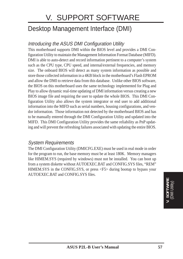# V. SUPPORT SOFTWARE

# Desktop Management Interface (DMI)

#### Introducing the ASUS DMI Configuration Utility

This motherboard supports DMI within the BIOS level and provides a DMI Configuration Utility to maintain the Management Information Format Database (MIFD). DMI is able to auto-detect and record information pertinent to a computer's system such as the CPU type, CPU speed, and internal/external frequencies, and memory size. The onboard BIOS will detect as many system information as possible and store those collected information in a 4KB block in the motherboard's Flash EPROM and allow the DMI to retrieve data from this database. Unlike other BIOS software, the BIOS on this motherboard uses the same technology implemented for Plug and Play to allow dynamic real-time updating of DMI information versus creating a new BIOS image file and requiring the user to update the whole BIOS. This DMI Configuration Utility also allows the system integrator or end user to add additional information into the MIFD such as serial numbers, housing configurations, and vendor information. Those information not detected by the motherboard BIOS and has to be manually entered through the DMI Configuration Utility and updated into the MIFD. This DMI Configuration Utility provides the same reliability as PnP updating and will prevent the refreshing failures associated with updating the entire BIOS.

#### System Requirements

The DMI Configuration Utility (DMICFG.EXE) must be used in real mode in order for the program to run, the base memory must be at least 180K. Memory managers like HIMEM.SYS (required by windows) must not be installed. You can boot up from a system diskette without AUTOEXEC.BAT and CONFIG.SYS files, "REM" HIMEM.SYS in the CONFIG.SYS, or press <F5> during bootup to bypass your AUTOEXEC.BAT and CONFIG.SYS files.

> **V. SOFTWARE** (DMI Utility)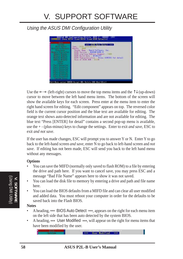### Using the ASUS DMI Configuration Utility

| <b>Sunday</b><br><b>Home Brown</b><br><b><i>SALEY LITTLE BANKING</i></b><br><b>President</b><br><b>Company Constitute Charge</b><br>bearing the bearing<br><b>George Students</b><br><b>Nonservi Minkels</b><br>kaura Midziul<br><b>Charlie C</b><br><b>CAMER</b><br><b>Service Continued State</b><br><b>Fact Electronic State</b><br><b>Secrit Commercial Con-</b><br>tac1 Samuel full<br><b>Service Construction</b><br><b>Get Lawrence Trac</b><br><b>Red Eastman's Text</b><br><b>Bally Mill</b> | *** B105 Bulo Detect ***<br><b>Dave: J. BEDG Bulleting</b><br>Handle, J. 1811<br>Vender Name - Regri Software, Inc.<br>HIBS Varsion : M&IND-4204-8<br>H105 starting fidency Segment - 1999<br>Blus Build Date : 07/07/91<br>BIDS Characteristics : Press IIHIIII for detail<br>Size of HIDS ROK #121K |
|-------------------------------------------------------------------------------------------------------------------------------------------------------------------------------------------------------------------------------------------------------------------------------------------------------------------------------------------------------------------------------------------------------------------------------------------------------------------------------------------------------|-------------------------------------------------------------------------------------------------------------------------------------------------------------------------------------------------------------------------------------------------------------------------------------------------------|
|-------------------------------------------------------------------------------------------------------------------------------------------------------------------------------------------------------------------------------------------------------------------------------------------------------------------------------------------------------------------------------------------------------------------------------------------------------------------------------------------------------|-------------------------------------------------------------------------------------------------------------------------------------------------------------------------------------------------------------------------------------------------------------------------------------------------------|

Use the  $\leftarrow \rightarrow$  (left-right) cursors to move the top menu items and the  $\uparrow \downarrow$  (up-down) cursor to move between the left hand menu items. The bottom of the screen will show the available keys for each screen. Press enter at the menu item to enter the right hand screen for editing. "Edit component" appears on top. The reversed color field is the current cursor position and the blue text are available for editing. The orange text shows auto-detected information and are not available for editing. The blue text "Press [ENTER] for detail" contains a second pop-up menu is available, use the + - (plus-minus) keys to change the settings. Enter to exit *and save*, ESC to exit *and not save*.

If the user has made changes, ESC will prompt you to answer Y or N. Enter Y to go back to the left-hand screen *and save*, enter N to go back to left-hand screen and *not save*. If editing has not been made, ESC will send you back to the left hand menu without any messages.

#### **Options**

- You can save the MIFD (normally only saved to flash ROM) to a file by entering the drive and path here. If you want to cancel save, you may press ESC and a message "Bad File Name" appears here to show it was not saved.
- You can load the disk file to memory by entering a drive and path and file name here.
- You can load the BIOS defaults from a MIFD file and can clear all user modified and added data. You must reboot your computer in order for the defaults to be saved back into the Flash BIOS.

#### **Notes**

- A heading, \*\*\* BIOS Auto Detect \*\*\*, appears on the right for each menu item on the left side that has been auto detected by the system BIOS.
- A heading, \*\*\* User Modified \*\*\*, will appear on the right for menu items that have been modified by the user.

**Joer Modified**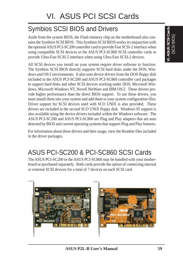# Symbios SCSI BIOS and Drivers

Aside from the system BIOS, the Flash memory chip on the motherboard also contains the Symbios SCSI BIOS. This Symbios SCSI BIOS works in conjunction with the optional ASUS PCI-SC200 controller card to provide Fast SCSI-2 interface when using compatible SCSI devices or the ASUS PCI-SC860 SCSI controller cards to provide Ultra-Fast SCSI-2 interface when using Ultra-Fast SCSI-2 devices.

All SCSI devices you install on your system require driver software to function. The Symbios SCSI BIOS directly supports SCSI hard disks under the DOS, Windows and OS/2 environments. It also uses device drivers from the DOS floppy disk included in the ASUS PCI-SC200 and ASUS PCI-SC860 controller card packages to support hard disks and other SCSI devices working under DOS, Microsoft Windows, Microsoft Windows NT, Novell NetWare and IBM OS/2. These drivers provide higher performance than the direct BIOS support. To use these drivers, you must install them into your system and add them to your system configuration files. Driver support for SCSI devices used with SCO UNIX is also provided. These drivers are included in the second SCO UNIX floppy disk. Windows 95 support is also available using the device drivers included within the Windows software. The ASUS PCI-SC200 and ASUS PCI-SC860 are Plug and Play adapters that are auto detected by BIOS and current operating systems that support Plug and Play features.

For information about these drivers and their usage, view the Readme files included in the driver packages.

# ASUS PCI-SC200 & PCI-SC860 SCSI Cards

The ASUS PCI-SC200 or the ASUS PCI-SC860 may be bundled with your motherboard or purchased separately. Both cards provide the option of connecting internal or external SCSI devices for a total of 7 devices on each SCSI card.

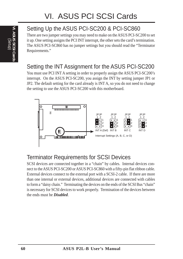# **VI. ASUS SCSI Cards** (Setup)

# Setting Up the ASUS PCI-SC200 & PCI-SC860

There are two jumper settings you may need to make on the ASUS PCI-SC200 to set it up. One setting assigns the PCI INT interrupt, the other sets the card's termination. The ASUS PCI-SC860 has no jumper settings but you should read the "Terminator Requirements."

# Setting the INT Assignment for the ASUS PCI-SC200

You must use PCI INT A setting in order to properly assign the ASUS PCI-SC200's interrupt. On the ASUS PCI-SC200, you assign the INT by setting jumper JP1 or JP2. The default setting for the card already is INT A, so you do not need to change the setting to use the ASUS PCI-SC200 with this motherboard.



# Terminator Requirements for SCSI Devices

SCSI devices are connected together in a "chain" by cables. Internal devices connect to the ASUS PCI-SC200 or ASUS PCI-SC860 with a fifty-pin flat ribbon cable. External devices connect to the external port with a SCSI-2 cable. If there are more than one internal or external devices, additional devices are connected with cables to form a "daisy chain." Terminating the devices on the ends of the SCSI Bus "chain" is necessary for SCSI devices to work properly. Termination of the devices between the ends must be *Disabled*.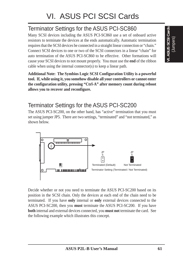# Terminator Settings for the ASUS PCI-SC860

Many SCSI devices including the ASUS PCI-SC860 use a set of onboard active resistors to terminate the devices at the ends automatically. Automatic termination requires that the SCSI devices be connected in a straight linear connection or "chain." Connect SCSI devices to one or two of the SCSI connectors in a linear "chain" for auto termination of the ASUS PCI-SC860 to be effective. Other formations will cause your SCSI devices to not mount properly. You must use the **end** of the ribbon cable when using the internal connector(s) to keep a linear path.

**Additional Note: The Symbios Logic SCSI Configuration Utility is a powerful tool. If, while using it, you somehow disable all your controllers or cannot enter the configuration utility, pressing "Ctrl-A" after memory count during reboot allows you to recover and reconfigure.**

# Terminator Settings for the ASUS PCI-SC200

The ASUS PCI-SC200, on the other hand, has "active" termination that you must set using jumper JP5. There are two settings, "terminated" and "not terminated," as shown below.



Decide whether or not you need to terminate the ASUS PCI-SC200 based on its position in the SCSI chain. Only the devices at each end of the chain need to be terminated. If you have **only** internal or **only** external devices connected to the ASUS PCI-SC200, then you **must** terminate the ASUS PCI-SC200. If you have **both** internal and external devices connected, you **must not** terminate the card. See the following example which illustrates this concept.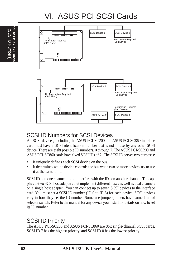# VI. ASUS PCI SCSI Cards

![](_page_61_Figure_2.jpeg)

# SCSI ID Numbers for SCSI Devices

All SCSI devices, including the ASUS PCI-SC200 and ASUS PCI-SC860 interface card must have a SCSI identification number that is not in use by any other SCSI device. There are eight possible ID numbers, 0 through 7. The ASUS PCI-SC200 and ASUS PCI-SC860 cards have fixed SCSI IDs of 7. The SCSI ID serves two purposes:

- It uniquely defines each SCSI device on the bus.
- It determines which device controls the bus when two or more devices try to use it at the same time.

SCSI IDs on one channel do not interfere with the IDs on another channel. This applies to two SCSI host adapters that implement different buses as well as dual channels on a single host adapter. You can connect up to seven SCSI devices to the interface card. You must set a SCSI ID number (ID 0 to ID 6) for each device. SCSI devices vary in how they set the ID number. Some use jumpers, others have some kind of selector switch. Refer to the manual for any device you install for details on how to set its ID number.

### SCSI ID Priority

The ASUS PCI-SC200 and ASUS PCI-SC860 are 8bit single-channel SCSI cards. SCSI ID 7 has the highest priority, and SCSI ID 0 has the lowest priority.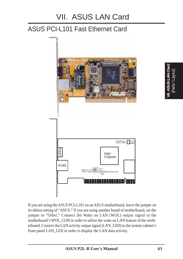# ASUS PCI-L101 Fast Ethernet Card

![](_page_62_Figure_2.jpeg)

If you are using the ASUS PCI-L101 on an ASUS motherboard, leave the jumper on its defaut setting of "ASUS." If you are using another brand of motherboard, set the jumper to "Other." Connect the Wake on LAN (WOL) output signal to the motherboard's WOL\_CON in order to utilize the wake on LAN feature of the motherboard. Connect the LAN activity output signal (LAN\_LED) to the system cabinet's front panel LAN\_LED in order to display the LAN data activity.